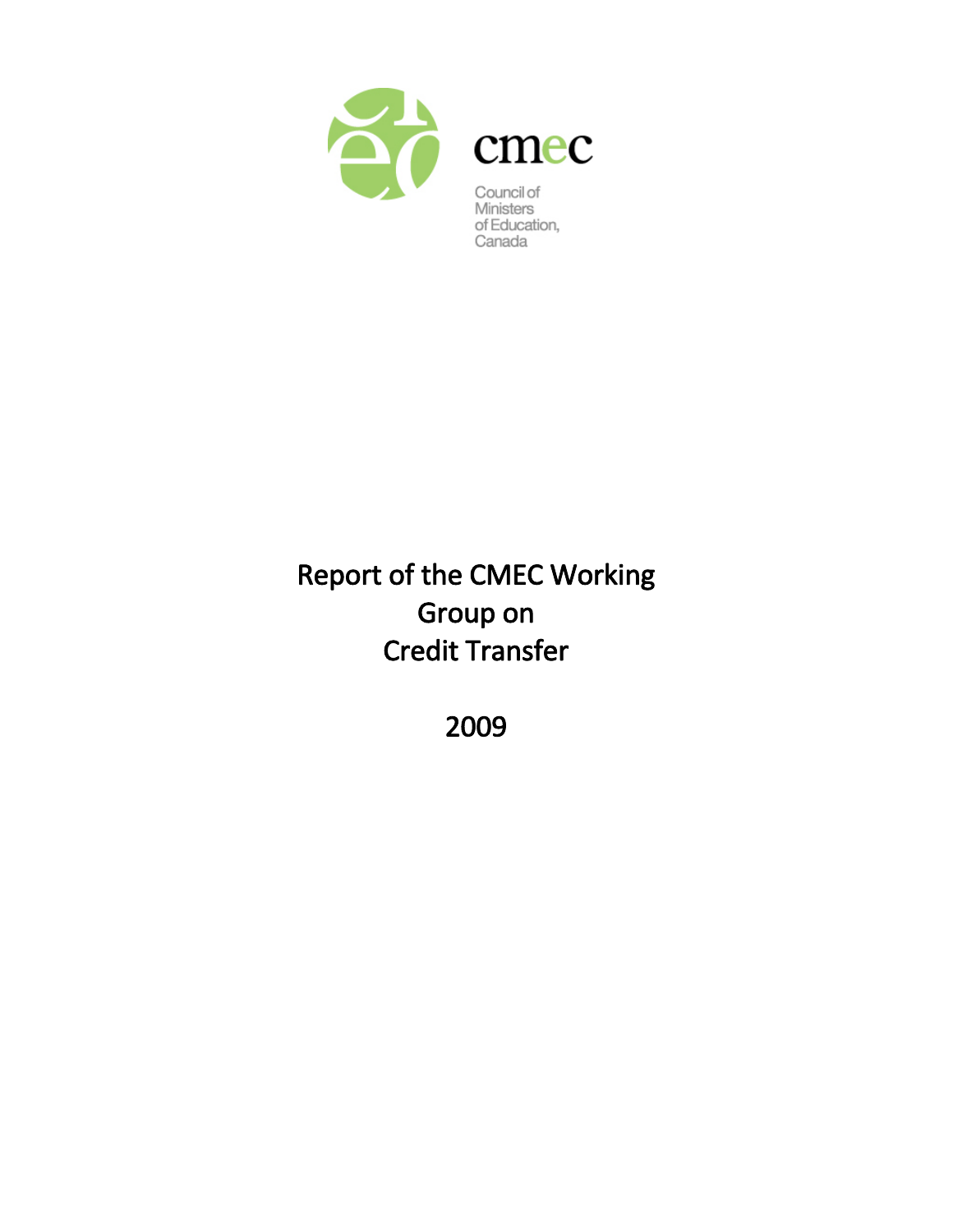

Canada

# Report of the CMEC Working Group on Credit Transfer

2009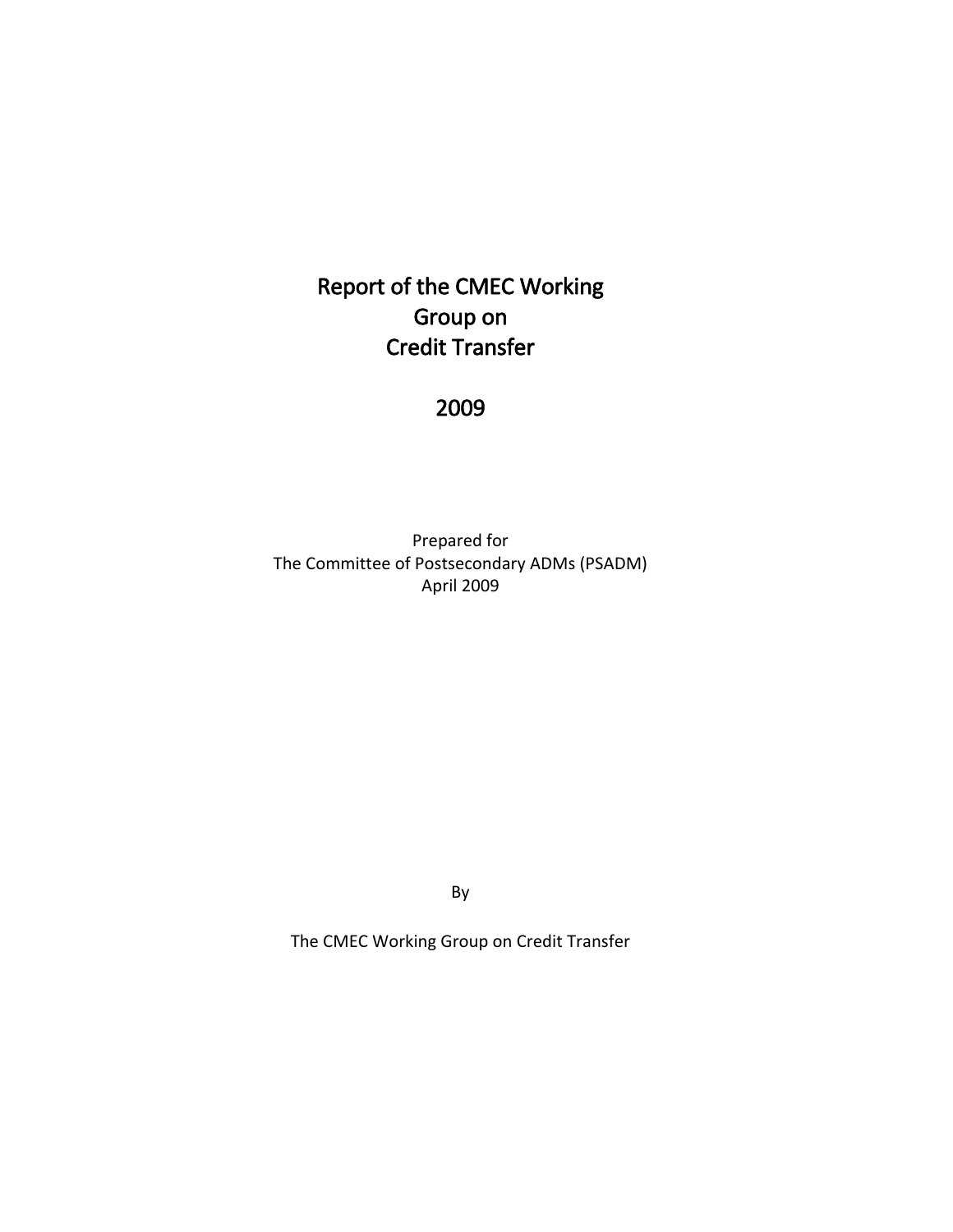## Report of the CMEC Working Group on Credit Transfer

## 2009

Prepared for The Committee of Postsecondary ADMs (PSADM) April 2009

By

The CMEC Working Group on Credit Transfer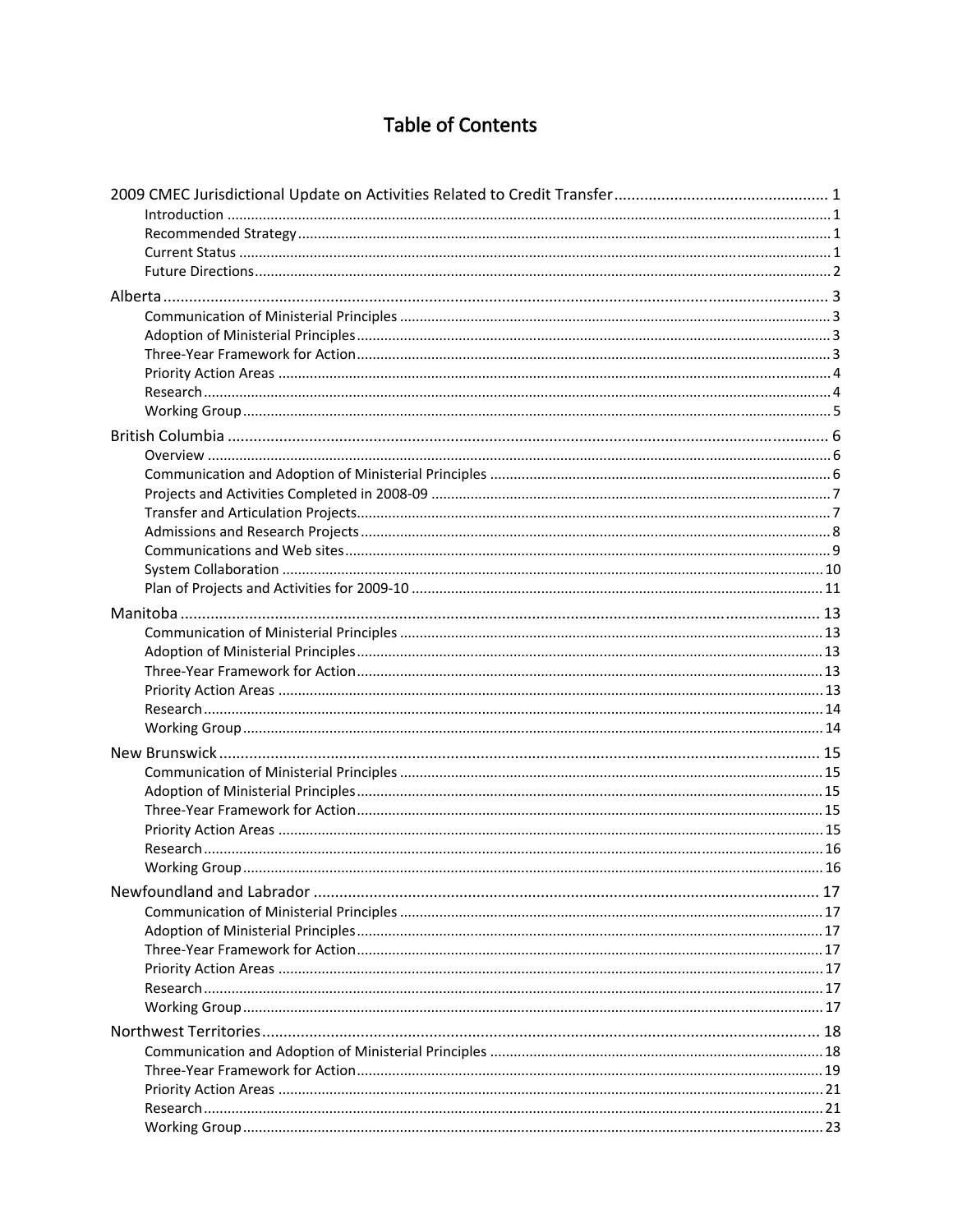## **Table of Contents**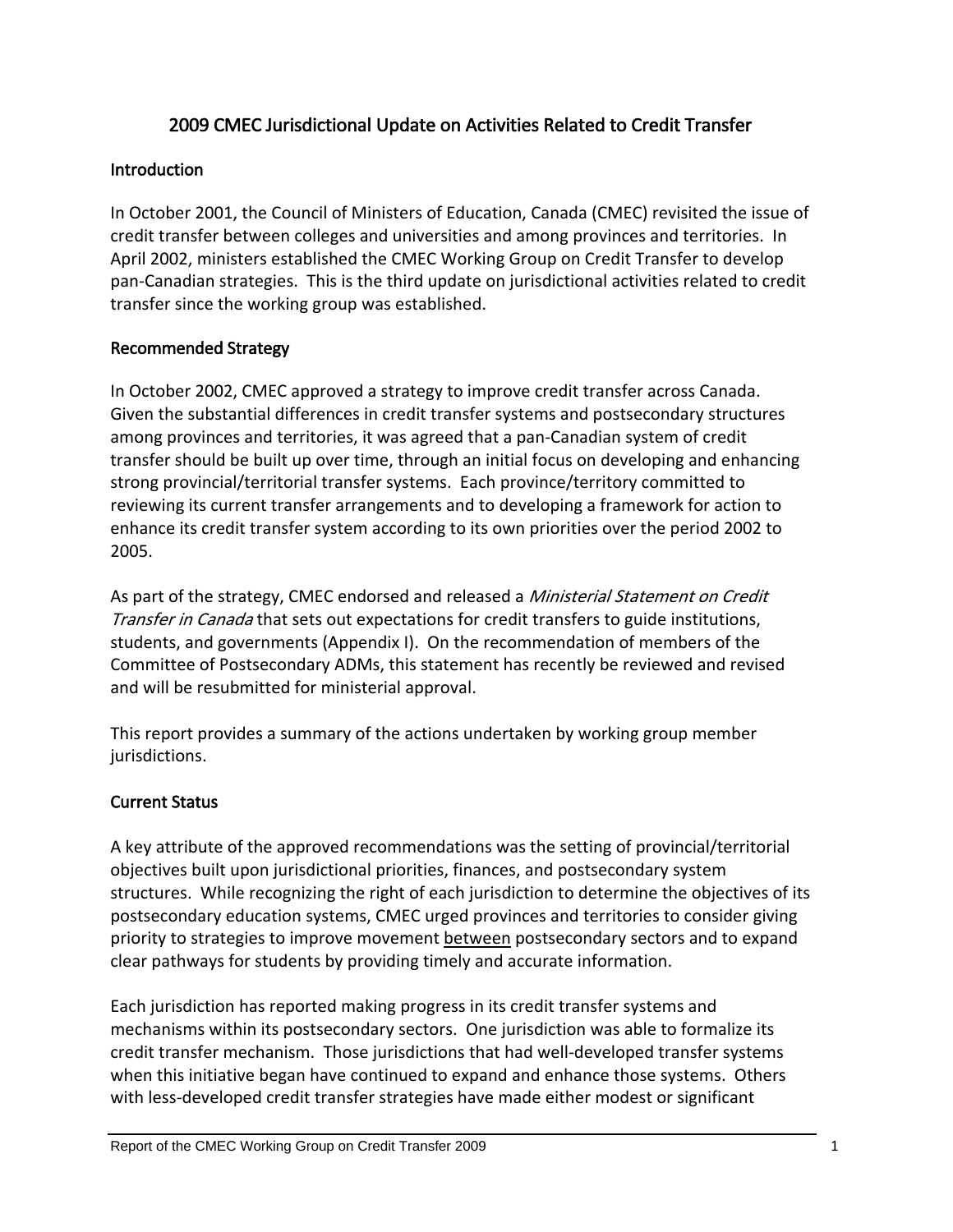## 2009 CMEC Jurisdictional Update on Activities Related to Credit Transfer

#### <span id="page-4-0"></span>**Introduction**

In October 2001, the Council of Ministers of Education, Canada (CMEC) revisited the issue of credit transfer between colleges and universities and among provinces and territories. In April 2002, ministers established the CMEC Working Group on Credit Transfer to develop pan‐Canadian strategies. This is the third update on jurisdictional activities related to credit transfer since the working group was established.

#### Recommended Strategy

In October 2002, CMEC approved a strategy to improve credit transfer across Canada. Given the substantial differences in credit transfer systems and postsecondary structures among provinces and territories, it was agreed that a pan‐Canadian system of credit transfer should be built up over time, through an initial focus on developing and enhancing strong provincial/territorial transfer systems. Each province/territory committed to reviewing its current transfer arrangements and to developing a framework for action to enhance its credit transfer system according to its own priorities over the period 2002 to 2005.

As part of the strategy, CMEC endorsed and released a *Ministerial Statement on Credit* Transfer in Canada that sets out expectations for credit transfers to guide institutions, students, and governments (Appendix I). On the recommendation of members of the Committee of Postsecondary ADMs, this statement has recently be reviewed and revised and will be resubmitted for ministerial approval.

This report provides a summary of the actions undertaken by working group member jurisdictions.

#### Current Status

A key attribute of the approved recommendations was the setting of provincial/territorial objectives built upon jurisdictional priorities, finances, and postsecondary system structures. While recognizing the right of each jurisdiction to determine the objectives of its postsecondary education systems, CMEC urged provinces and territories to consider giving priority to strategies to improve movement between postsecondary sectors and to expand clear pathways for students by providing timely and accurate information.

Each jurisdiction has reported making progress in its credit transfer systems and mechanisms within its postsecondary sectors. One jurisdiction was able to formalize its credit transfer mechanism. Those jurisdictions that had well‐developed transfer systems when this initiative began have continued to expand and enhance those systems. Others with less-developed credit transfer strategies have made either modest or significant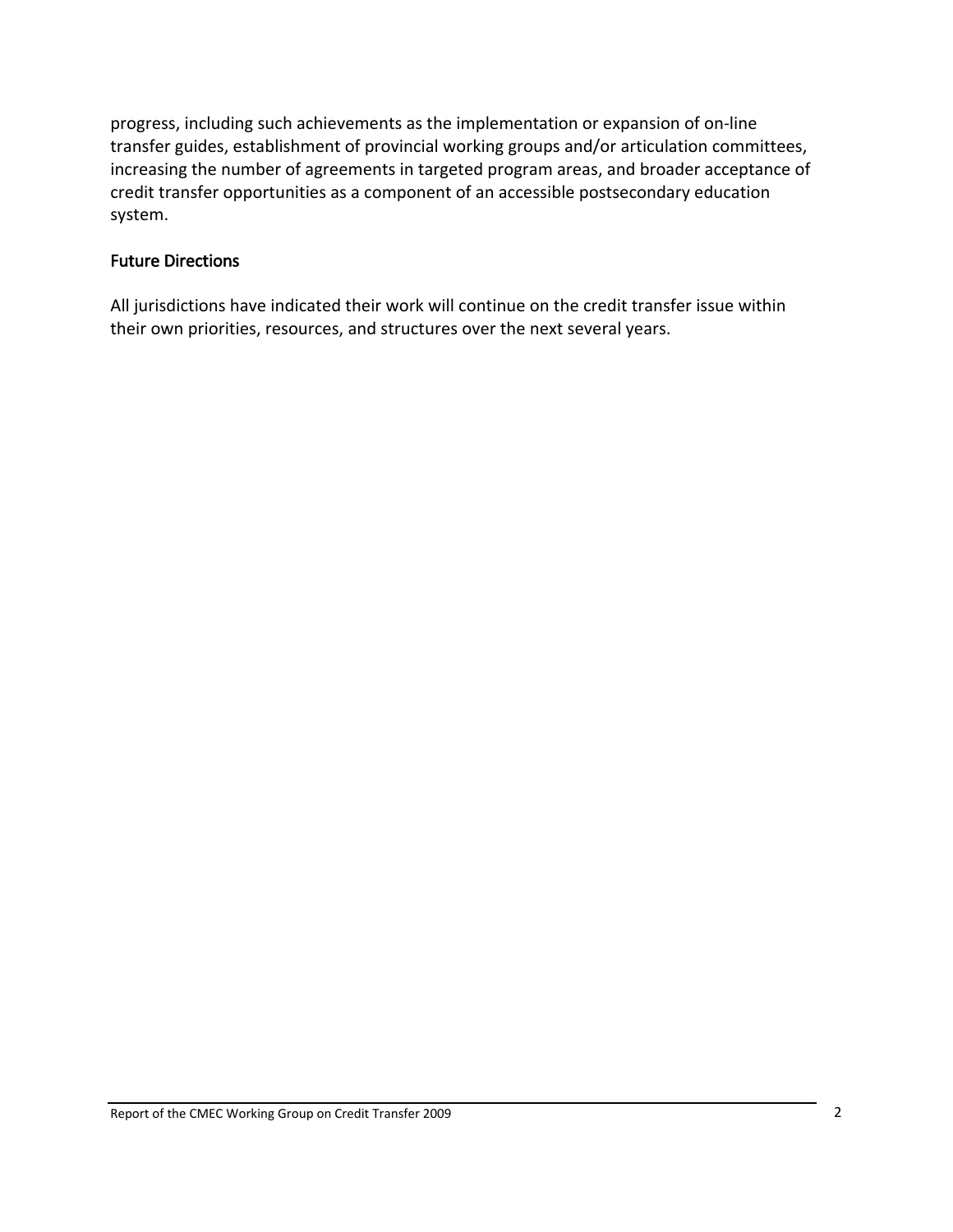<span id="page-5-0"></span>progress, including such achievements as the implementation or expansion of on‐line transfer guides, establishment of provincial working groups and/or articulation committees, increasing the number of agreements in targeted program areas, and broader acceptance of credit transfer opportunities as a component of an accessible postsecondary education system.

#### Future Directions

All jurisdictions have indicated their work will continue on the credit transfer issue within their own priorities, resources, and structures over the next several years.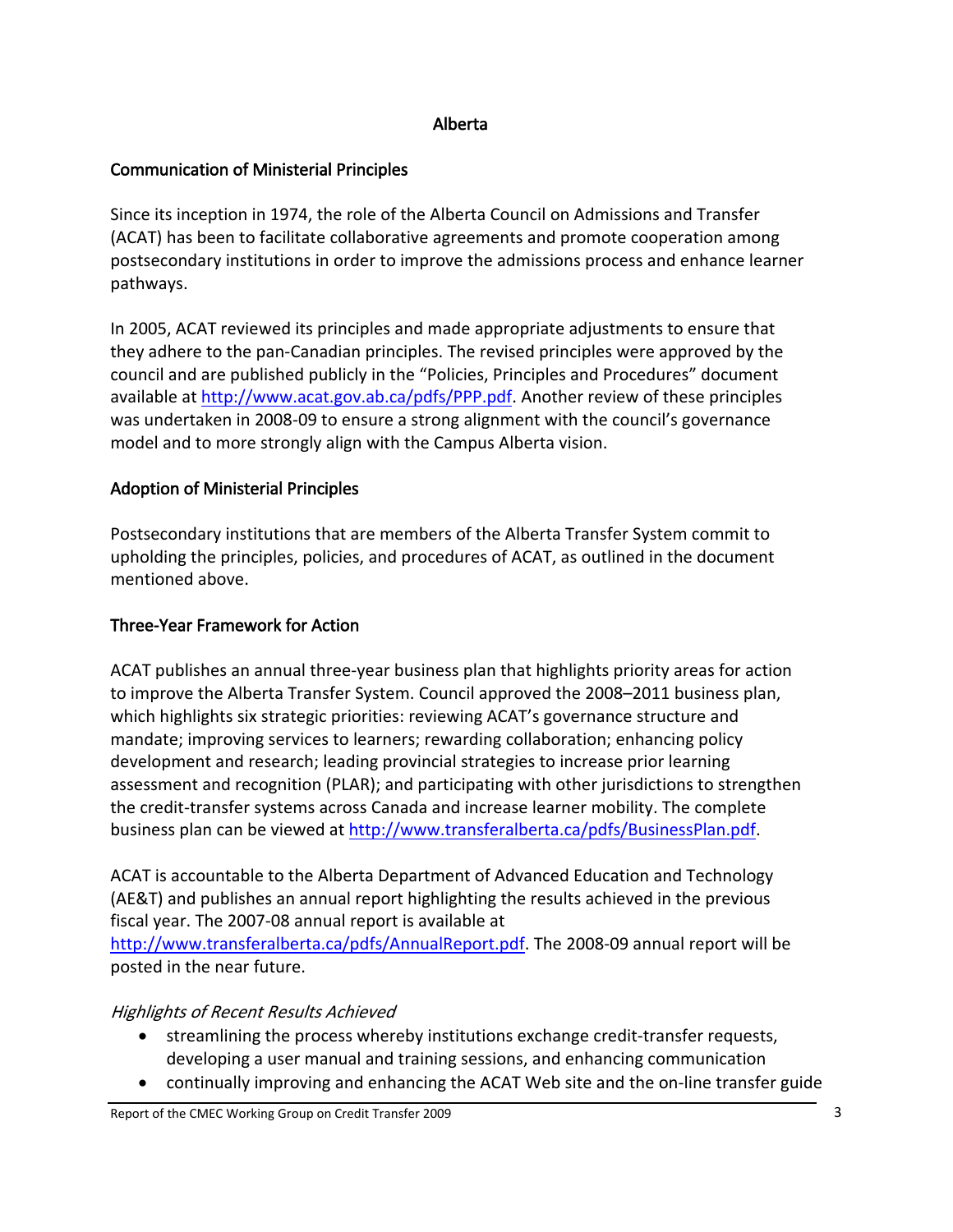#### Alberta

### <span id="page-6-0"></span>Communication of Ministerial Principles

Since its inception in 1974, the role of the Alberta Council on Admissions and Transfer (ACAT) has been to facilitate collaborative agreements and promote cooperation among postsecondary institutions in order to improve the admissions process and enhance learner pathways.

In 2005, ACAT reviewed its principles and made appropriate adjustments to ensure that they adhere to the pan‐Canadian principles. The revised principles were approved by the council and are published publicly in the "Policies, Principles and Procedures" document available at <http://www.acat.gov.ab.ca/pdfs/PPP.pdf>. Another review of these principles was undertaken in 2008‐09 to ensure a strong alignment with the council's governance model and to more strongly align with the Campus Alberta vision.

### Adoption of Ministerial Principles

Postsecondary institutions that are members of the Alberta Transfer System commit to upholding the principles, policies, and procedures of ACAT, as outlined in the document mentioned above.

#### Three‐Year Framework for Action

ACAT publishes an annual three‐year business plan that highlights priority areas for action to improve the Alberta Transfer System. Council approved the 2008–2011 business plan, which highlights six strategic priorities: reviewing ACAT's governance structure and mandate; improving services to learners; rewarding collaboration; enhancing policy development and research; leading provincial strategies to increase prior learning assessment and recognition (PLAR); and participating with other jurisdictions to strengthen the credit‐transfer systems across Canada and increase learner mobility. The complete business plan can be viewed at [http://www.transferalberta.ca/pdfs/BusinessPlan.pdf.](http://www.transferalberta.ca/pdfs/BusinessPlan.pdf)

ACAT is accountable to the Alberta Department of Advanced Education and Technology (AE&T) and publishes an annual report highlighting the results achieved in the previous fiscal year. The 2007‐08 annual report is available at

<http://www.transferalberta.ca/pdfs/AnnualReport.pdf>. The 2008‐09 annual report will be posted in the near future.

## Highlights of Recent Results Achieved

- streamlining the process whereby institutions exchange credit‐transfer requests, developing a user manual and training sessions, and enhancing communication
- continually improving and enhancing the ACAT Web site and the on‐line transfer guide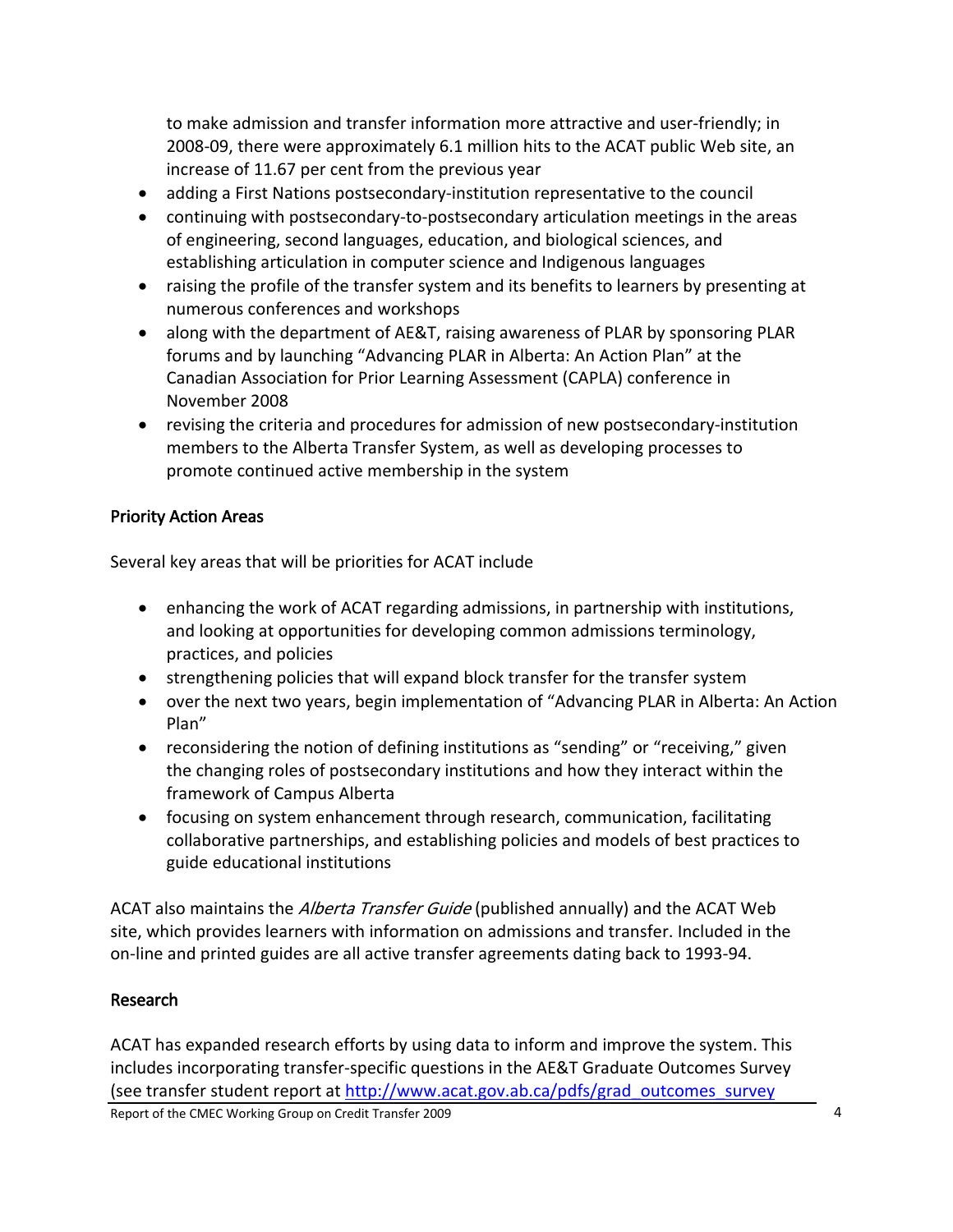<span id="page-7-0"></span>to make admission and transfer information more attractive and user‐friendly; in 2008‐09, there were approximately 6.1 million hits to the ACAT public Web site, an increase of 11.67 per cent from the previous year

- adding a First Nations postsecondary‐institution representative to the council
- continuing with postsecondary-to-postsecondary articulation meetings in the areas of engineering, second languages, education, and biological sciences, and establishing articulation in computer science and Indigenous languages
- raising the profile of the transfer system and its benefits to learners by presenting at numerous conferences and workshops
- along with the department of AE&T, raising awareness of PLAR by sponsoring PLAR forums and by launching "Advancing PLAR in Alberta: An Action Plan" at the Canadian Association for Prior Learning Assessment (CAPLA) conference in November 2008
- revising the criteria and procedures for admission of new postsecondary-institution members to the Alberta Transfer System, as well as developing processes to promote continued active membership in the system

## Priority Action Areas

Several key areas that will be priorities for ACAT include

- enhancing the work of ACAT regarding admissions, in partnership with institutions, and looking at opportunities for developing common admissions terminology, practices, and policies
- strengthening policies that will expand block transfer for the transfer system
- over the next two years, begin implementation of "Advancing PLAR in Alberta: An Action Plan"
- reconsidering the notion of defining institutions as "sending" or "receiving," given the changing roles of postsecondary institutions and how they interact within the framework of Campus Alberta
- focusing on system enhancement through research, communication, facilitating collaborative partnerships, and establishing policies and models of best practices to guide educational institutions

ACAT also maintains the *Alberta Transfer Guide* (published annually) and the ACAT Web site, which provides learners with information on admissions and transfer. Included in the on‐line and printed guides are all active transfer agreements dating back to 1993‐94.

## Research

ACAT has expanded research efforts by using data to inform and improve the system. This includes incorporating transfer‐specific questions in the AE&T Graduate Outcomes Survey (see transfer student report at [http://www.acat.gov.ab.ca/pdfs/grad\\_outcomes\\_survey](http://www.acat.gov.ab.ca/pdfs/grad_outcomes_survey%0B_2003_04.pdf)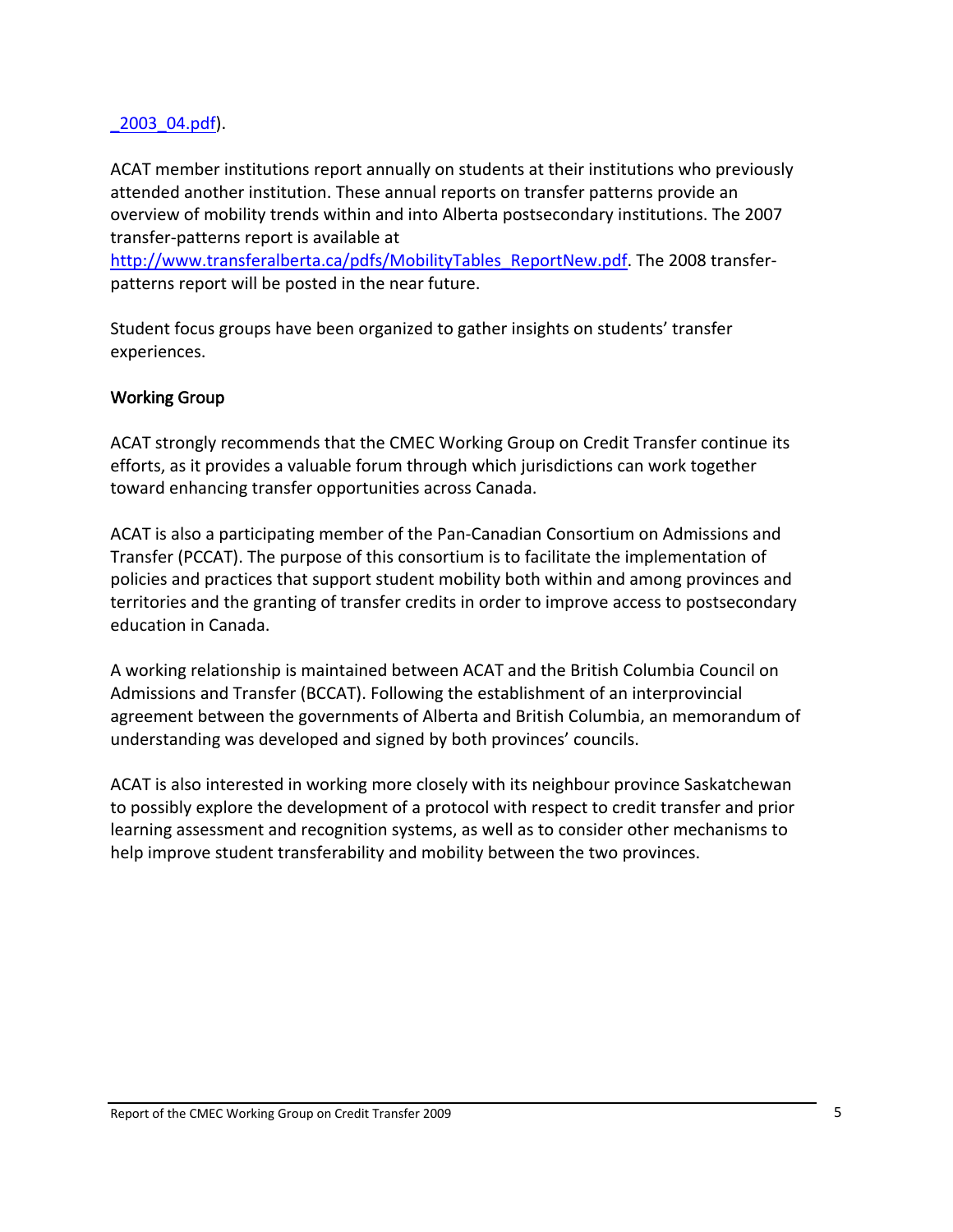#### <span id="page-8-0"></span>[\\_2003\\_04.pdf\)](http://www.acat.gov.ab.ca/pdfs/grad_outcomes_survey%0B_2003_04.pdf).

ACAT member institutions report annually on students at their institutions who previously attended another institution. These annual reports on transfer patterns provide an overview of mobility trends within and into Alberta postsecondary institutions. The 2007 transfer‐patterns report is available at

[http://www.transferalberta.ca/pdfs/MobilityTables\\_ReportNew.pdf](http://www.transferalberta.ca/pdfs/MobilityTables_ReportNew.pdf). The 2008 transferpatterns report will be posted in the near future.

Student focus groups have been organized to gather insights on students' transfer experiences.

#### Working Group

ACAT strongly recommends that the CMEC Working Group on Credit Transfer continue its efforts, as it provides a valuable forum through which jurisdictions can work together toward enhancing transfer opportunities across Canada.

ACAT is also a participating member of the Pan‐Canadian Consortium on Admissions and Transfer (PCCAT). The purpose of this consortium is to facilitate the implementation of policies and practices that support student mobility both within and among provinces and territories and the granting of transfer credits in order to improve access to postsecondary education in Canada.

A working relationship is maintained between ACAT and the British Columbia Council on Admissions and Transfer (BCCAT). Following the establishment of an interprovincial agreement between the governments of Alberta and British Columbia, an memorandum of understanding was developed and signed by both provinces' councils.

ACAT is also interested in working more closely with its neighbour province Saskatchewan to possibly explore the development of a protocol with respect to credit transfer and prior learning assessment and recognition systems, as well as to consider other mechanisms to help improve student transferability and mobility between the two provinces.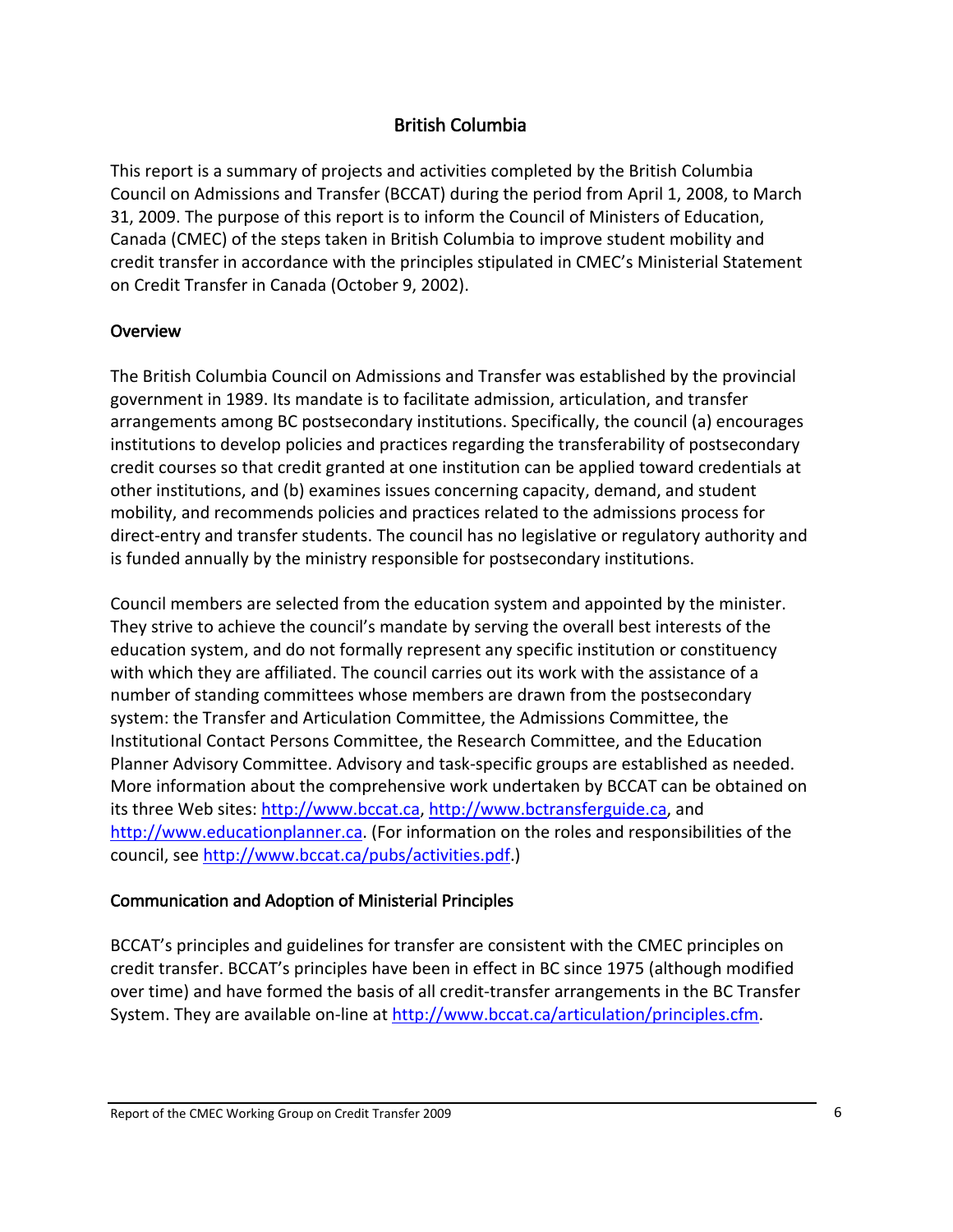## British Columbia

<span id="page-9-0"></span>This report is a summary of projects and activities completed by the British Columbia Council on Admissions and Transfer (BCCAT) during the period from April 1, 2008, to March 31, 2009. The purpose of this report is to inform the Council of Ministers of Education, Canada (CMEC) of the steps taken in British Columbia to improve student mobility and credit transfer in accordance with the principles stipulated in CMEC's Ministerial Statement on Credit Transfer in Canada (October 9, 2002).

#### Overview

The British Columbia Council on Admissions and Transfer was established by the provincial government in 1989. Its mandate is to facilitate admission, articulation, and transfer arrangements among BC postsecondary institutions. Specifically, the council (a) encourages institutions to develop policies and practices regarding the transferability of postsecondary credit courses so that credit granted at one institution can be applied toward credentials at other institutions, and (b) examines issues concerning capacity, demand, and student mobility, and recommends policies and practices related to the admissions process for direct-entry and transfer students. The council has no legislative or regulatory authority and is funded annually by the ministry responsible for postsecondary institutions.

Council members are selected from the education system and appointed by the minister. They strive to achieve the council's mandate by serving the overall best interests of the education system, and do not formally represent any specific institution or constituency with which they are affiliated. The council carries out its work with the assistance of a number of standing committees whose members are drawn from the postsecondary system: the Transfer and Articulation Committee, the Admissions Committee, the Institutional Contact Persons Committee, the Research Committee, and the Education Planner Advisory Committee. Advisory and task‐specific groups are established as needed. More information about the comprehensive work undertaken by BCCAT can be obtained on its three Web sites: [http://www.bccat.ca,](http://www.bccat.ca/) [http://www.bctransferguide.ca,](http://www.bctransferguide.ca/) and [http://www.educationplanner.ca](http://www.educationplanner.ca/). (For information on the roles and responsibilities of the council, see [http://www.bccat.ca/pubs/activities.pdf.](http://www.bccat.ca/pubs/activities.pdf))

## Communication and Adoption of Ministerial Principles

BCCAT's principles and guidelines for transfer are consistent with the CMEC principles on credit transfer. BCCAT's principles have been in effect in BC since 1975 (although modified over time) and have formed the basis of all credit‐transfer arrangements in the BC Transfer System. They are available on-line at [http://www.bccat.ca/articulation/principles.cfm.](http://www.bccat.ca/articulation/principles.cfm)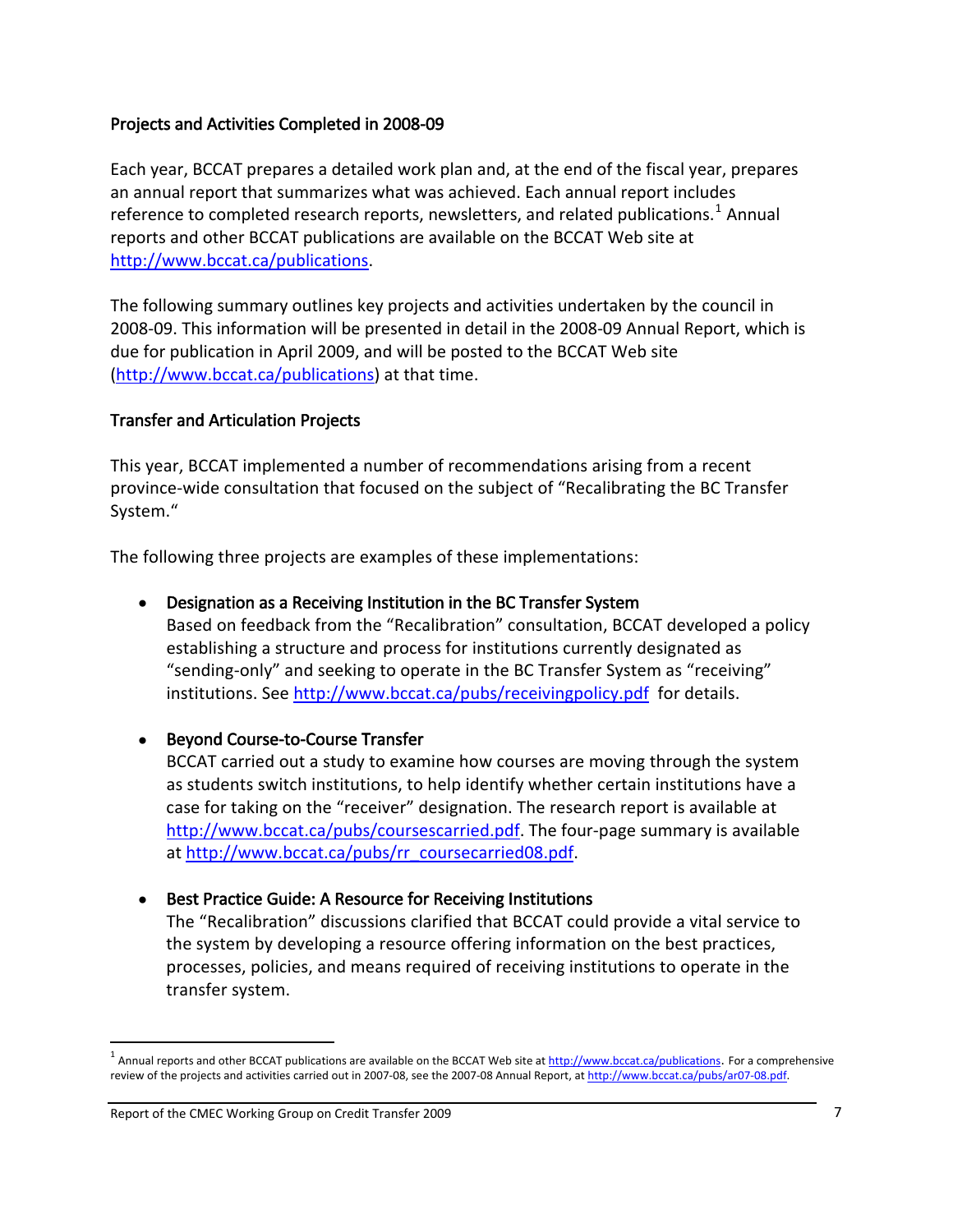#### <span id="page-10-0"></span>Projects and Activities Completed in 2008‐09

Each year, BCCAT prepares a detailed work plan and, at the end of the fiscal year, prepares an annual report that summarizes what was achieved. Each annual report includes reference to completed research reports, newsletters, and related publications.<sup>[1](#page-10-1)</sup> Annual reports and other BCCAT publications are available on the BCCAT Web site at [http://www.bccat.ca/publications.](http://www.bccat.ca/publications)

The following summary outlines key projects and activities undertaken by the council in 2008‐09. This information will be presented in detail in the 2008‐09 Annual Report, which is due for publication in April 2009, and will be posted to the BCCAT Web site ([http://www.bccat.ca/publications\)](http://www.bccat.ca/publications) at that time.

#### Transfer and Articulation Projects

This year, BCCAT implemented a number of recommendations arising from a recent province‐wide consultation that focused on the subject of "Recalibrating the BC Transfer System."

The following three projects are examples of these implementations:

#### • Designation as a Receiving Institution in the BC Transfer System

Based on feedback from the "Recalibration" consultation, BCCAT developed a policy establishing a structure and process for institutions currently designated as "sending‐only" and seeking to operate in the BC Transfer System as "receiving" institutions. See <http://www.bccat.ca/pubs/receivingpolicy.pdf> for details.

#### • Beyond Course‐to‐Course Transfer

BCCAT carried out a study to examine how courses are moving through the system as students switch institutions, to help identify whether certain institutions have a case for taking on the "receiver" designation. The research report is available at <http://www.bccat.ca/pubs/coursescarried.pdf>. The four‐page summary is available at [http://www.bccat.ca/pubs/rr\\_coursecarried08.pdf.](http://www.bccat.ca/pubs/rr_coursecarried08.pdf)

#### • Best Practice Guide: A Resource for Receiving Institutions

The "Recalibration" discussions clarified that BCCAT could provide a vital service to the system by developing a resource offering information on the best practices, processes, policies, and means required of receiving institutions to operate in the transfer system.

j

<span id="page-10-1"></span> $1$  Annual reports and other BCCAT publications are available on the BCCAT Web site at  $\frac{http://www.bccat.ca/publications}{http://www.bccat.ca/publications}.$  $\frac{http://www.bccat.ca/publications}{http://www.bccat.ca/publications}.$  $\frac{http://www.bccat.ca/publications}{http://www.bccat.ca/publications}.$  For a comprehensive review of the projects and activities carried out in 2007-08, see the 2007-08 Annual Report, at [http://www.bccat.ca/pubs/ar07](http://www.bccat.ca/pubs/ar07-08.pdf)-08.pdf.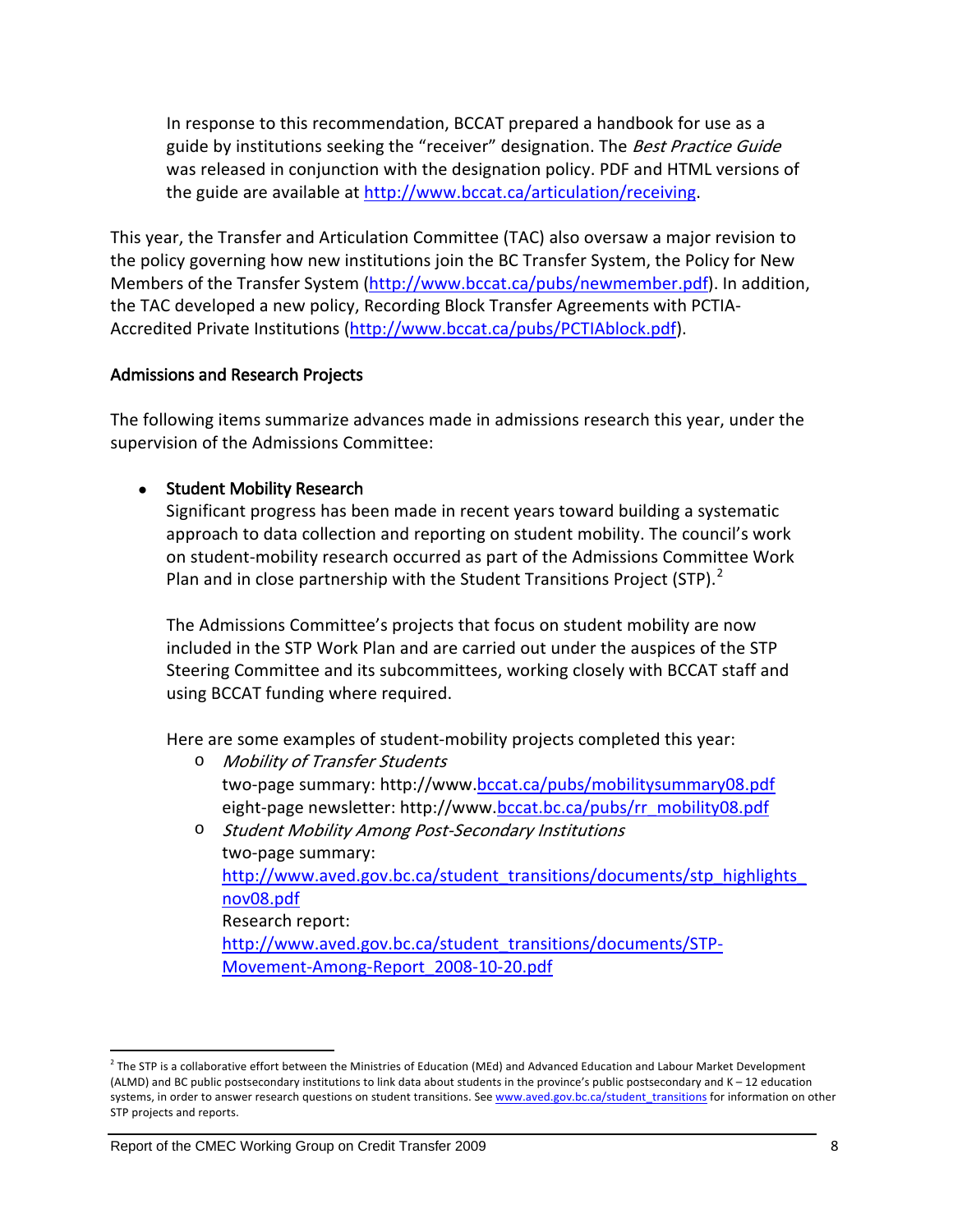<span id="page-11-0"></span>In response to this recommendation, BCCAT prepared a handbook for use as a guide by institutions seeking the "receiver" designation. The Best Practice Guide was released in conjunction with the designation policy. PDF and HTML versions of the guide are available at <http://www.bccat.ca/articulation/receiving>.

This year, the Transfer and Articulation Committee (TAC) also oversaw a major revision to the policy governing how new institutions join the BC Transfer System, the Policy for New Members of the Transfer System [\(http://www.bccat.ca/pubs/newmember.pdf](http://www.bccat.ca/pubs/newmember.pdf)). In addition, the TAC developed a new policy, Recording Block Transfer Agreements with PCTIA‐ Accredited Private Institutions ([http://www.bccat.ca/pubs/PCTIAblock.pdf\)](http://www.bccat.ca/pubs/PCTIAblock.pdf).

#### Admissions and Research Projects

The following items summarize advances made in admissions research this year, under the supervision of the Admissions Committee:

#### • Student Mobility Research

Significant progress has been made in recent years toward building a systematic approach to data collection and reporting on student mobility. The council's work on student‐mobility research occurred as part of the Admissions Committee Work Plan and in close partnership with the Student Transitions Project (STP). $^2$  $^2$ 

The Admissions Committee's projects that focus on student mobility are now included in the STP Work Plan and are carried out under the auspices of the STP Steering Committee and its subcommittees, working closely with BCCAT staff and using BCCAT funding where required.

Here are some examples of student‐mobility projects completed this year:

- o Mobility of Transfer Students two-page summary: http://www.[bccat.ca/pubs/mobilitysummary08.pdf](http://www.bccat.ca/pubs/mobilitysummary08BC-ABprotocol.pdf) eight-page newsletter: http://www.[bccat.bc.ca/pubs/rr\\_mobility08.pdf](http://www.bccat.bc.ca/pubs/rr_mobility08.pdf)
- o Student Mobility Among Post‐Secondary Institutions two‐page summary: http://www.aved.gov.bc.ca/student\_transitions/documents/stp\_highlights [nov08.pdf](http://www.aved.gov.bc.ca/student_transitions/documents/stp_highlights_nov08.pdf) Research report: [http://www.aved.gov.bc.ca/student\\_transitions/documents/STP](http://www.aved.gov.bc.ca/student_transitions/documents/STP-Movement-Among-Report_2008-10-20.pdf)-Movement‐Among‐[Report\\_2008](http://www.aved.gov.bc.ca/student_transitions/documents/STP-Movement-Among-Report_2008-10-20.pdf)‐10‐20.pdf

j

<span id="page-11-1"></span> $<sup>2</sup>$  The STP is a collaborative effort between the Ministries of Education (MEd) and Advanced Education and Labour Market Development</sup> (ALMD) and BC public postsecondary institutions to link data about students in the province's public postsecondary and K – 12 education systems, in order to answer research questions on student transitions. See [www.aved.gov.bc.ca/student\\_transitions](http://www.aved.gov.bc.ca/student_transitions) for information on other STP projects and reports.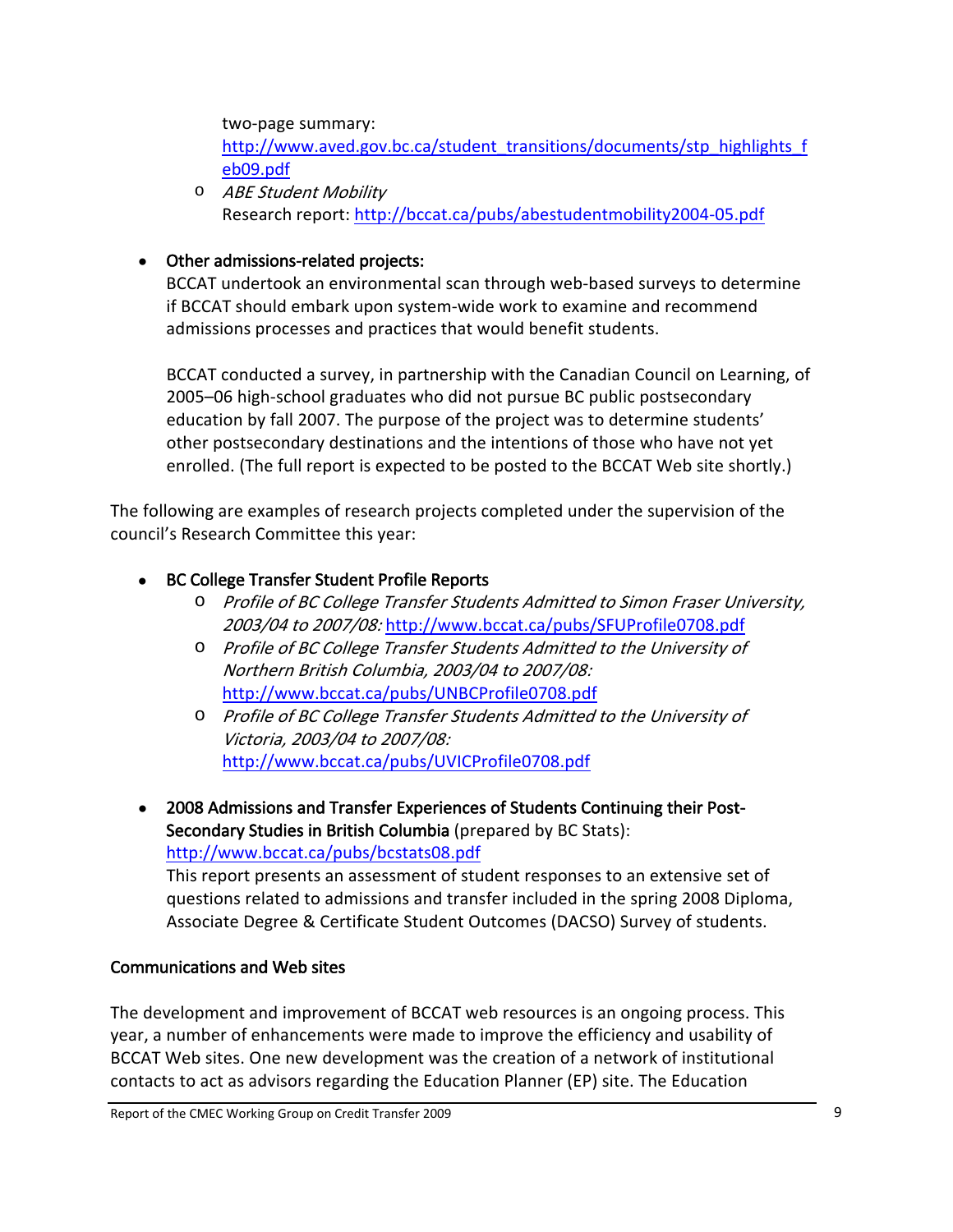<span id="page-12-0"></span>two‐page summary:

[http://www.aved.gov.bc.ca/student\\_transitions/documents/stp\\_highlights\\_f](http://www.aved.gov.bc.ca/student_transitions/documents/stp_highlights_feb09.pdf) [eb09.pdf](http://www.aved.gov.bc.ca/student_transitions/documents/stp_highlights_feb09.pdf)

o ABE Student Mobility Research report: [http://bccat.ca/pubs/abestudentmobility2004](http://bccat.ca/pubs/abestudentmobility2004-05.pdf)‐05.pdf

## • Other admissions-related projects:

BCCAT undertook an environmental scan through web‐based surveys to determine if BCCAT should embark upon system‐wide work to examine and recommend admissions processes and practices that would benefit students.

BCCAT conducted a survey, in partnership with the Canadian Council on Learning, of 2005–06 high‐school graduates who did not pursue BC public postsecondary education by fall 2007. The purpose of the project was to determine students' other postsecondary destinations and the intentions of those who have not yet enrolled. (The full report is expected to be posted to the BCCAT Web site shortly.)

The following are examples of research projects completed under the supervision of the council's Research Committee this year:

## • BC College Transfer Student Profile Reports

- o Profile of BC College Transfer Students Admitted to Simon Fraser University, 2003/04 to 2007/08: <http://www.bccat.ca/pubs/SFUProfile0708.pdf>
- o Profile of BC College Transfer Students Admitted to the University of Northern British Columbia, 2003/04 to 2007/08: <http://www.bccat.ca/pubs/UNBCProfile0708.pdf>
- o Profile of BC College Transfer Students Admitted to the University of Victoria, 2003/04 to 2007/08: <http://www.bccat.ca/pubs/UVICProfile0708.pdf>

• 2008 Admissions and Transfer Experiences of Students Continuing their Post‐ Secondary Studies in British Columbia (prepared by BC Stats): <http://www.bccat.ca/pubs/bcstats08.pdf>

This report presents an assessment of student responses to an extensive set of questions related to admissions and transfer included in the spring 2008 Diploma, Associate Degree & Certificate Student Outcomes (DACSO) Survey of students.

## Communications and Web sites

The development and improvement of BCCAT web resources is an ongoing process. This year, a number of enhancements were made to improve the efficiency and usability of BCCAT Web sites. One new development was the creation of a network of institutional contacts to act as advisors regarding the Education Planner (EP) site. The Education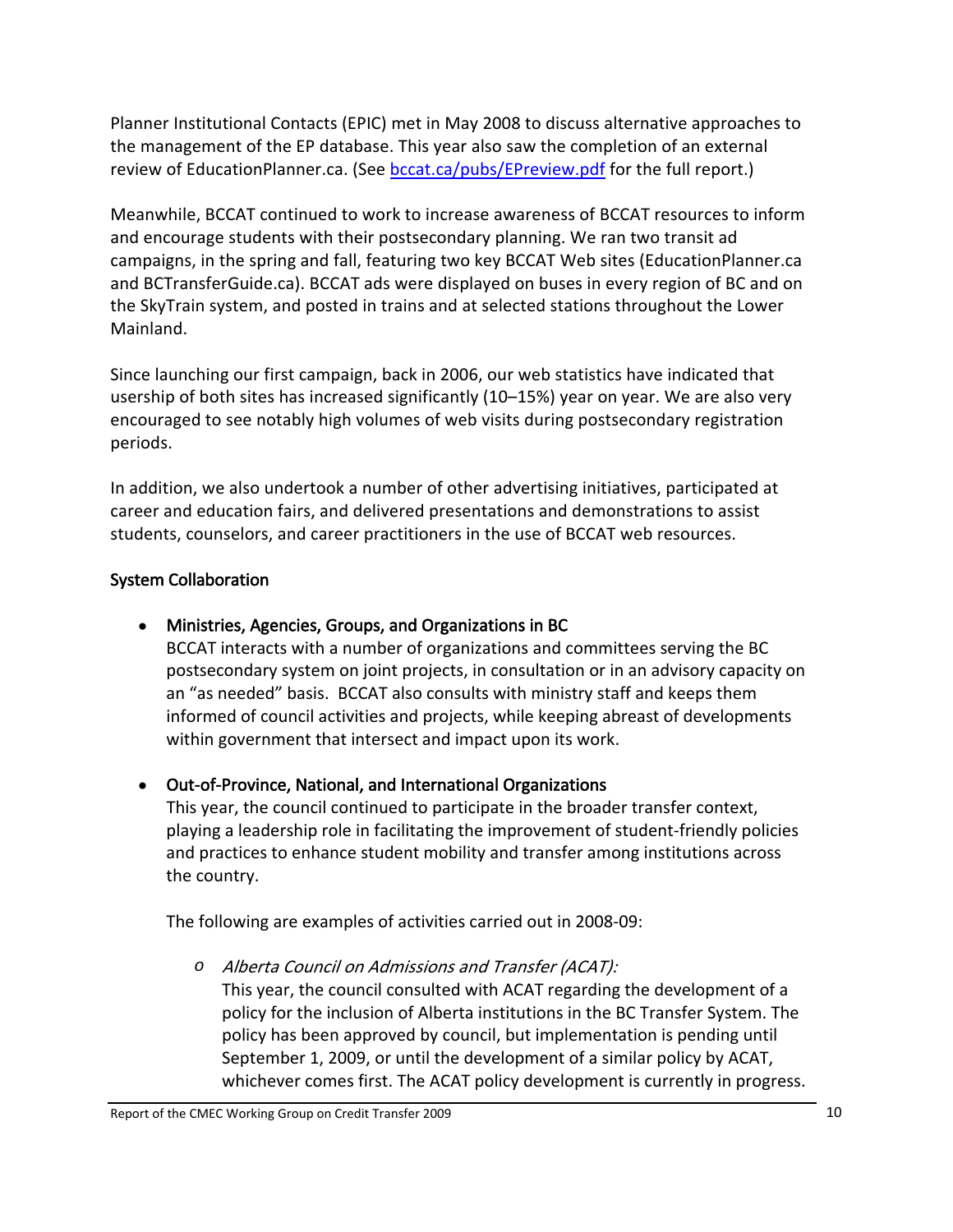<span id="page-13-0"></span>Planner Institutional Contacts (EPIC) met in May 2008 to discuss alternative approaches to the management of the EP database. This year also saw the completion of an external review of EducationPlanner.ca. (See [bccat.ca/pubs/EPreview.pdf](http://bccat.ca/pubs/EPreview.pdf) for the full report.)

Meanwhile, BCCAT continued to work to increase awareness of BCCAT resources to inform and encourage students with their postsecondary planning. We ran two transit ad campaigns, in the spring and fall, featuring two key BCCAT Web sites (EducationPlanner.ca and BCTransferGuide.ca). BCCAT ads were displayed on buses in every region of BC and on the SkyTrain system, and posted in trains and at selected stations throughout the Lower Mainland.

Since launching our first campaign, back in 2006, our web statistics have indicated that usership of both sites has increased significantly (10–15%) year on year. We are also very encouraged to see notably high volumes of web visits during postsecondary registration periods.

In addition, we also undertook a number of other advertising initiatives, participated at career and education fairs, and delivered presentations and demonstrations to assist students, counselors, and career practitioners in the use of BCCAT web resources.

### System Collaboration

## • Ministries, Agencies, Groups, and Organizations in BC

BCCAT interacts with a number of organizations and committees serving the BC postsecondary system on joint projects, in consultation or in an advisory capacity on an "as needed" basis. BCCAT also consults with ministry staff and keeps them informed of council activities and projects, while keeping abreast of developments within government that intersect and impact upon its work.

#### • Out‐of‐Province, National, and International Organizations

This year, the council continued to participate in the broader transfer context, playing a leadership role in facilitating the improvement of student‐friendly policies and practices to enhance student mobility and transfer among institutions across the country.

The following are examples of activities carried out in 2008‐09:

*o* Alberta Council on Admissions and Transfer (ACAT): This year, the council consulted with ACAT regarding the development of a policy for the inclusion of Alberta institutions in the BC Transfer System. The policy has been approved by council, but implementation is pending until September 1, 2009, or until the development of a similar policy by ACAT, whichever comes first. The ACAT policy development is currently in progress.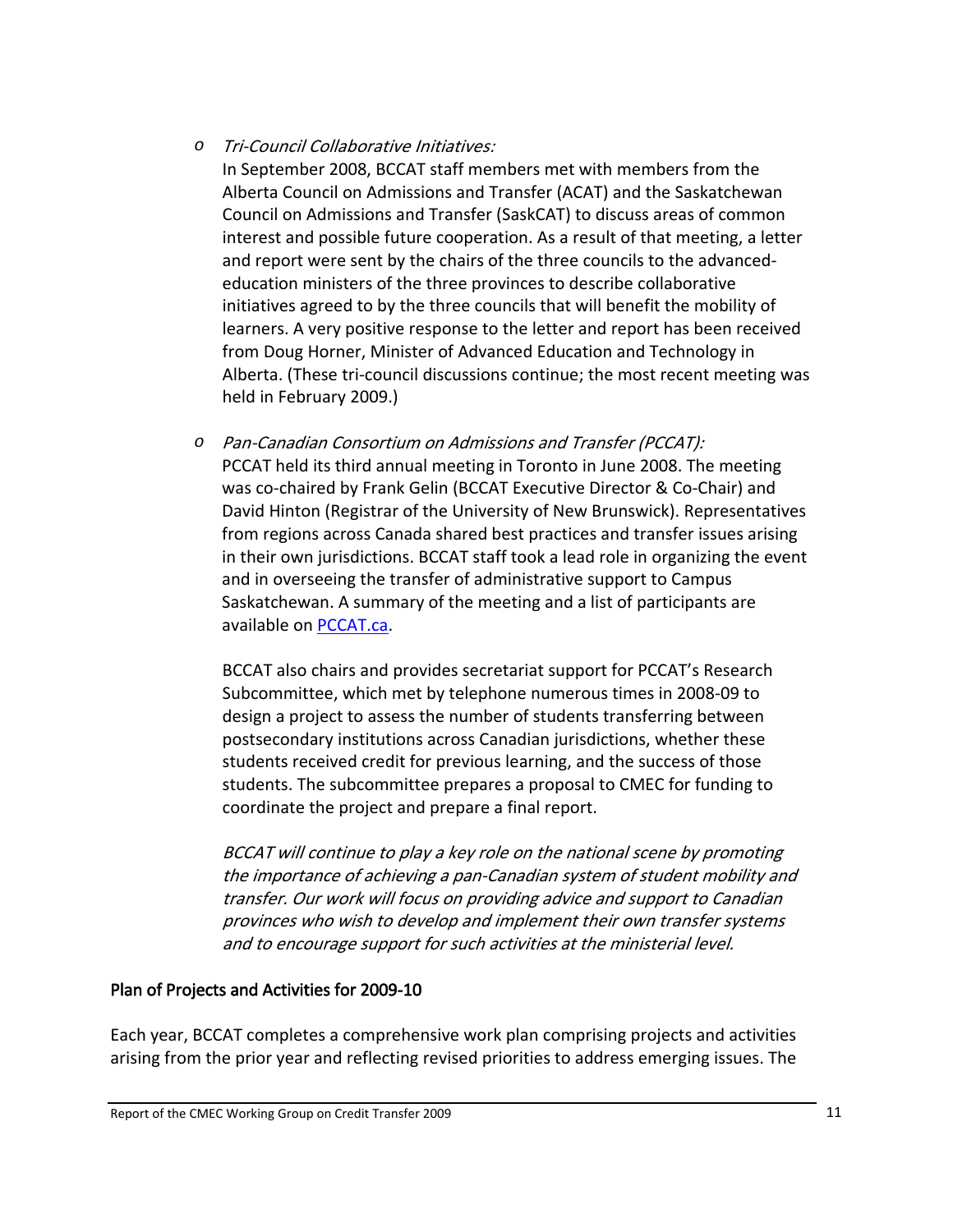#### <span id="page-14-0"></span>*o* Tri‐Council Collaborative Initiatives:

In September 2008, BCCAT staff members met with members from the Alberta Council on Admissions and Transfer (ACAT) and the Saskatchewan Council on Admissions and Transfer (SaskCAT) to discuss areas of common interest and possible future cooperation. As a result of that meeting, a letter and report were sent by the chairs of the three councils to the advanced‐ education ministers of the three provinces to describe collaborative initiatives agreed to by the three councils that will benefit the mobility of learners. A very positive response to the letter and report has been received from Doug Horner, Minister of Advanced Education and Technology in Alberta. (These tri‐council discussions continue; the most recent meeting was held in February 2009.)

*o* Pan‐Canadian Consortium on Admissions and Transfer (PCCAT): PCCAT held its third annual meeting in Toronto in June 2008. The meeting was co‐chaired by Frank Gelin (BCCAT Executive Director & Co‐Chair) and David Hinton (Registrar of the University of New Brunswick). Representatives from regions across Canada shared best practices and transfer issues arising in their own jurisdictions. BCCAT staff took a lead role in organizing the event and in overseeing the transfer of administrative support to Campus Saskatchewan. A summary of the meeting and a list of participants are available on [PCCAT.ca.](http://www.pccat.ca/)

BCCAT also chairs and provides secretariat support for PCCAT's Research Subcommittee, which met by telephone numerous times in 2008‐09 to design a project to assess the number of students transferring between postsecondary institutions across Canadian jurisdictions, whether these students received credit for previous learning, and the success of those students. The subcommittee prepares a proposal to CMEC for funding to coordinate the project and prepare a final report.

BCCAT will continue to play <sup>a</sup> key role on the national scene by promoting the importance of achieving <sup>a</sup> pan‐Canadian system of student mobility and transfer. Our work will focus on providing advice and support to Canadian provinces who wish to develop and implement their own transfer systems and to encourage support for such activities at the ministerial level.

#### Plan of Projects and Activities for 2009‐10

Each year, BCCAT completes a comprehensive work plan comprising projects and activities arising from the prior year and reflecting revised priorities to address emerging issues. The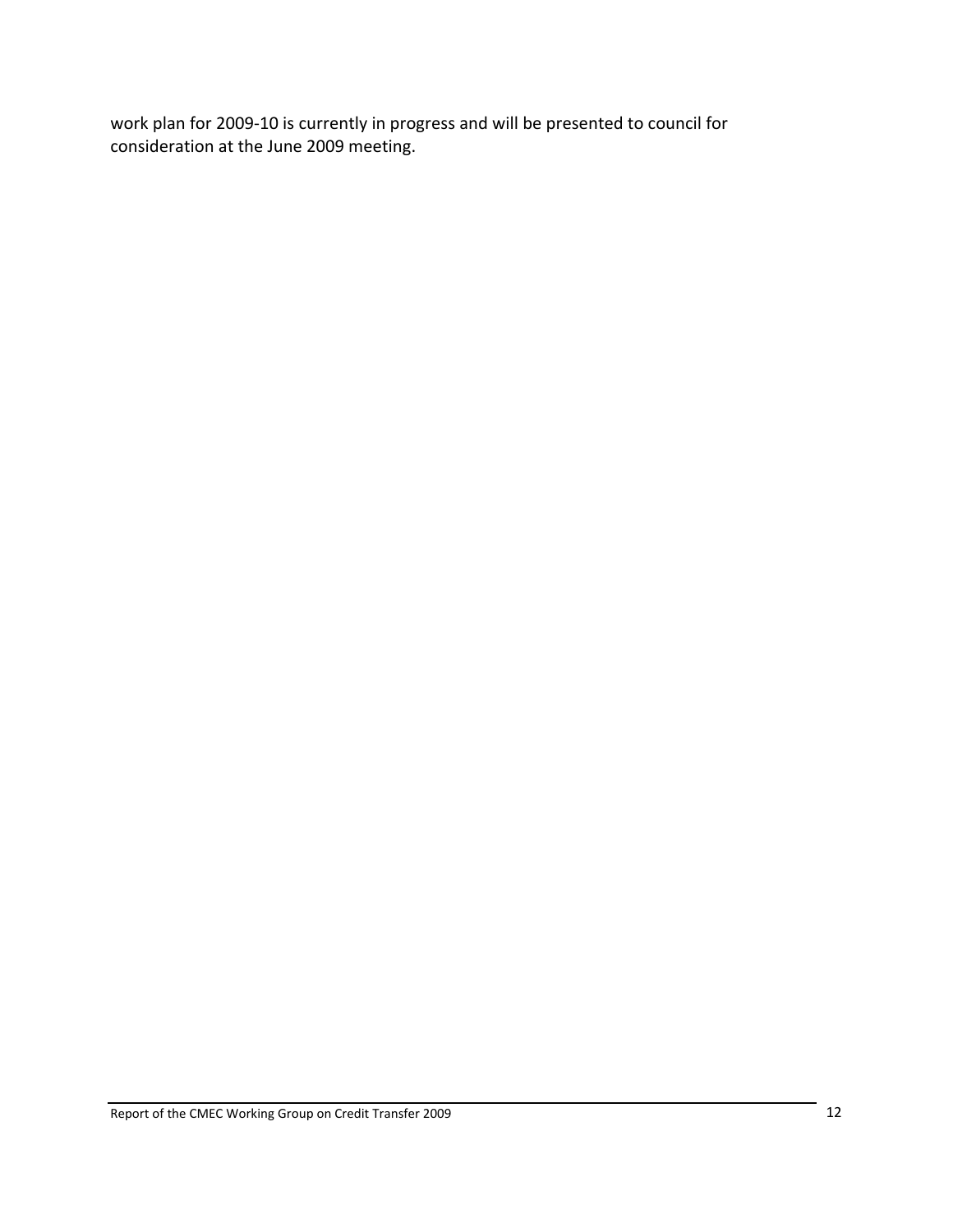work plan for 2009-10 is currently in progress and will be presented to council for consideration at the June 2009 meeting.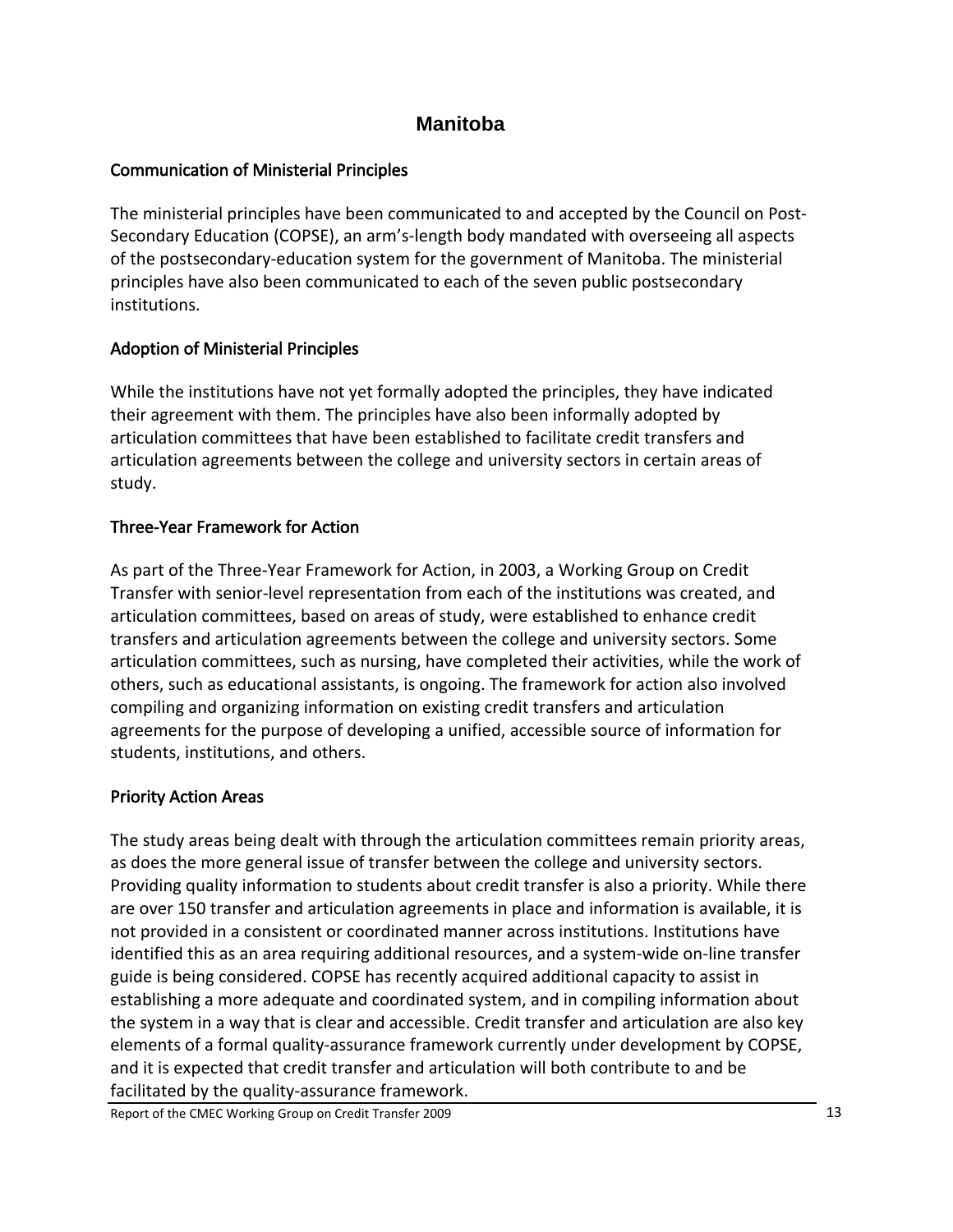## **Manitoba**

## <span id="page-16-0"></span>Communication of Ministerial Principles

The ministerial principles have been communicated to and accepted by the Council on Post‐ Secondary Education (COPSE), an arm's‐length body mandated with overseeing all aspects of the postsecondary‐education system for the government of Manitoba. The ministerial principles have also been communicated to each of the seven public postsecondary institutions.

## Adoption of Ministerial Principles

While the institutions have not yet formally adopted the principles, they have indicated their agreement with them. The principles have also been informally adopted by articulation committees that have been established to facilitate credit transfers and articulation agreements between the college and university sectors in certain areas of study.

## Three‐Year Framework for Action

As part of the Three‐Year Framework for Action, in 2003, a Working Group on Credit Transfer with senior‐level representation from each of the institutions was created, and articulation committees, based on areas of study, were established to enhance credit transfers and articulation agreements between the college and university sectors. Some articulation committees, such as nursing, have completed their activities, while the work of others, such as educational assistants, is ongoing. The framework for action also involved compiling and organizing information on existing credit transfers and articulation agreements for the purpose of developing a unified, accessible source of information for students, institutions, and others.

## Priority Action Areas

The study areas being dealt with through the articulation committees remain priority areas, as does the more general issue of transfer between the college and university sectors. Providing quality information to students about credit transfer is also a priority. While there are over 150 transfer and articulation agreements in place and information is available, it is not provided in a consistent or coordinated manner across institutions. Institutions have identified this as an area requiring additional resources, and a system‐wide on‐line transfer guide is being considered. COPSE has recently acquired additional capacity to assist in establishing a more adequate and coordinated system, and in compiling information about the system in a way that is clear and accessible. Credit transfer and articulation are also key elements of a formal quality‐assurance framework currently under development by COPSE, and it is expected that credit transfer and articulation will both contribute to and be facilitated by the quality‐assurance framework.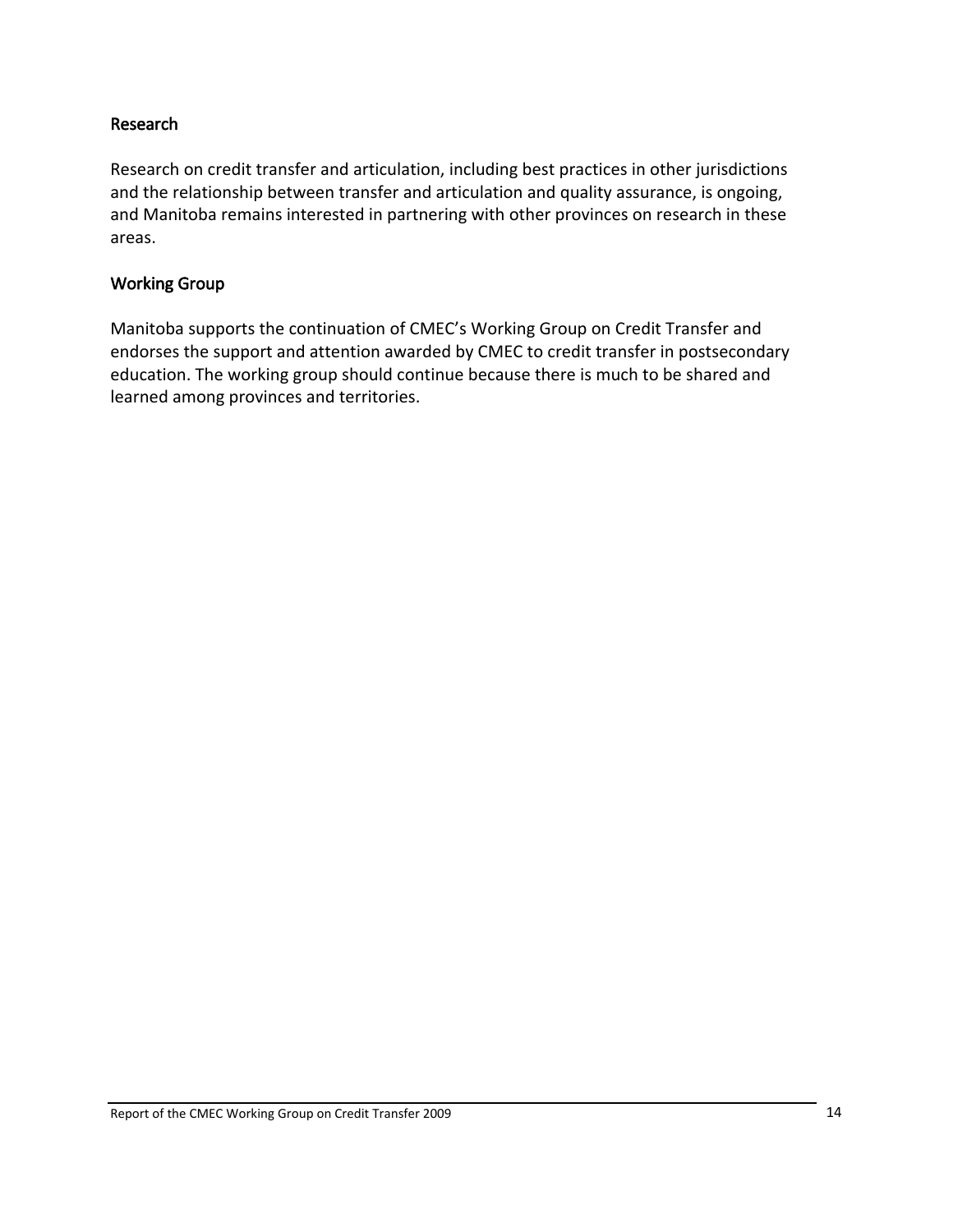#### <span id="page-17-0"></span>Research

Research on credit transfer and articulation, including best practices in other jurisdictions and the relationship between transfer and articulation and quality assurance, is ongoing, and Manitoba remains interested in partnering with other provinces on research in these areas.

#### Working Group

Manitoba supports the continuation of CMEC's Working Group on Credit Transfer and endorses the support and attention awarded by CMEC to credit transfer in postsecondary education. The working group should continue because there is much to be shared and learned among provinces and territories.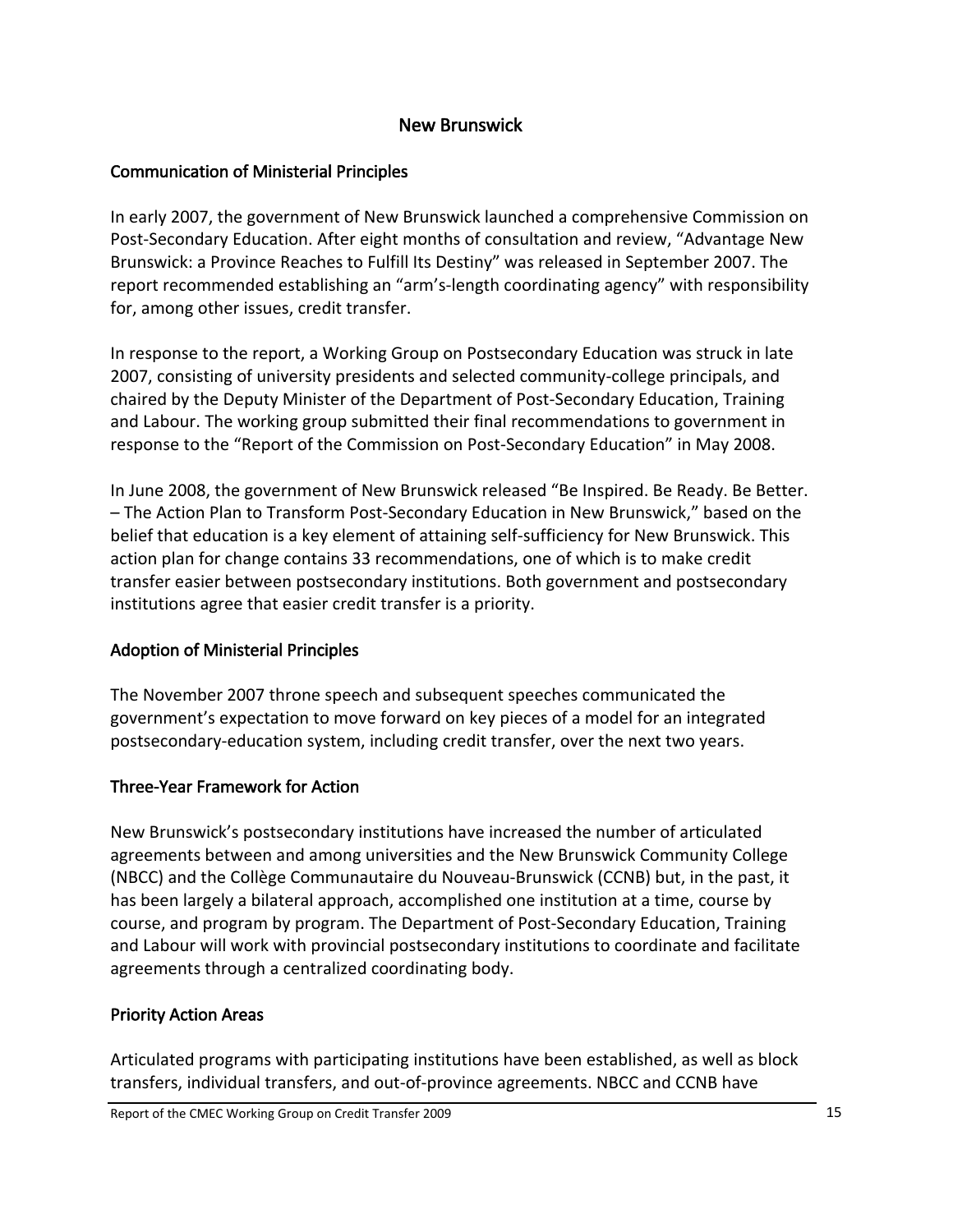## New Brunswick

### <span id="page-18-0"></span>Communication of Ministerial Principles

In early 2007, the government of New Brunswick launched a comprehensive Commission on Post-Secondary Education. After eight months of consultation and review, "Advantage New Brunswick: a Province Reaches to Fulfill Its Destiny" was released in September 2007. The report recommended establishing an "arm's‐length coordinating agency" with responsibility for, among other issues, credit transfer.

In response to the report, a Working Group on Postsecondary Education was struck in late 2007, consisting of university presidents and selected community-college principals, and chaired by the Deputy Minister of the Department of Post‐Secondary Education, Training and Labour. The working group submitted their final recommendations to government in response to the "Report of the Commission on Post‐Secondary Education" in May 2008.

In June 2008, the government of New Brunswick released "Be Inspired. Be Ready. Be Better. – The Action Plan to Transform Post‐Secondary Education in New Brunswick," based on the belief that education is a key element of attaining self‐sufficiency for New Brunswick. This action plan for change contains 33 recommendations, one of which is to make credit transfer easier between postsecondary institutions. Both government and postsecondary institutions agree that easier credit transfer is a priority.

#### Adoption of Ministerial Principles

The November 2007 throne speech and subsequent speeches communicated the government's expectation to move forward on key pieces of a model for an integrated postsecondary‐education system, including credit transfer, over the next two years.

#### Three‐Year Framework for Action

New Brunswick's postsecondary institutions have increased the number of articulated agreements between and among universities and the New Brunswick Community College (NBCC) and the Collège Communautaire du Nouveau‐Brunswick (CCNB) but, in the past, it has been largely a bilateral approach, accomplished one institution at a time, course by course, and program by program. The Department of Post‐Secondary Education, Training and Labour will work with provincial postsecondary institutions to coordinate and facilitate agreements through a centralized coordinating body.

#### Priority Action Areas

Articulated programs with participating institutions have been established, as well as block transfers, individual transfers, and out‐of‐province agreements. NBCC and CCNB have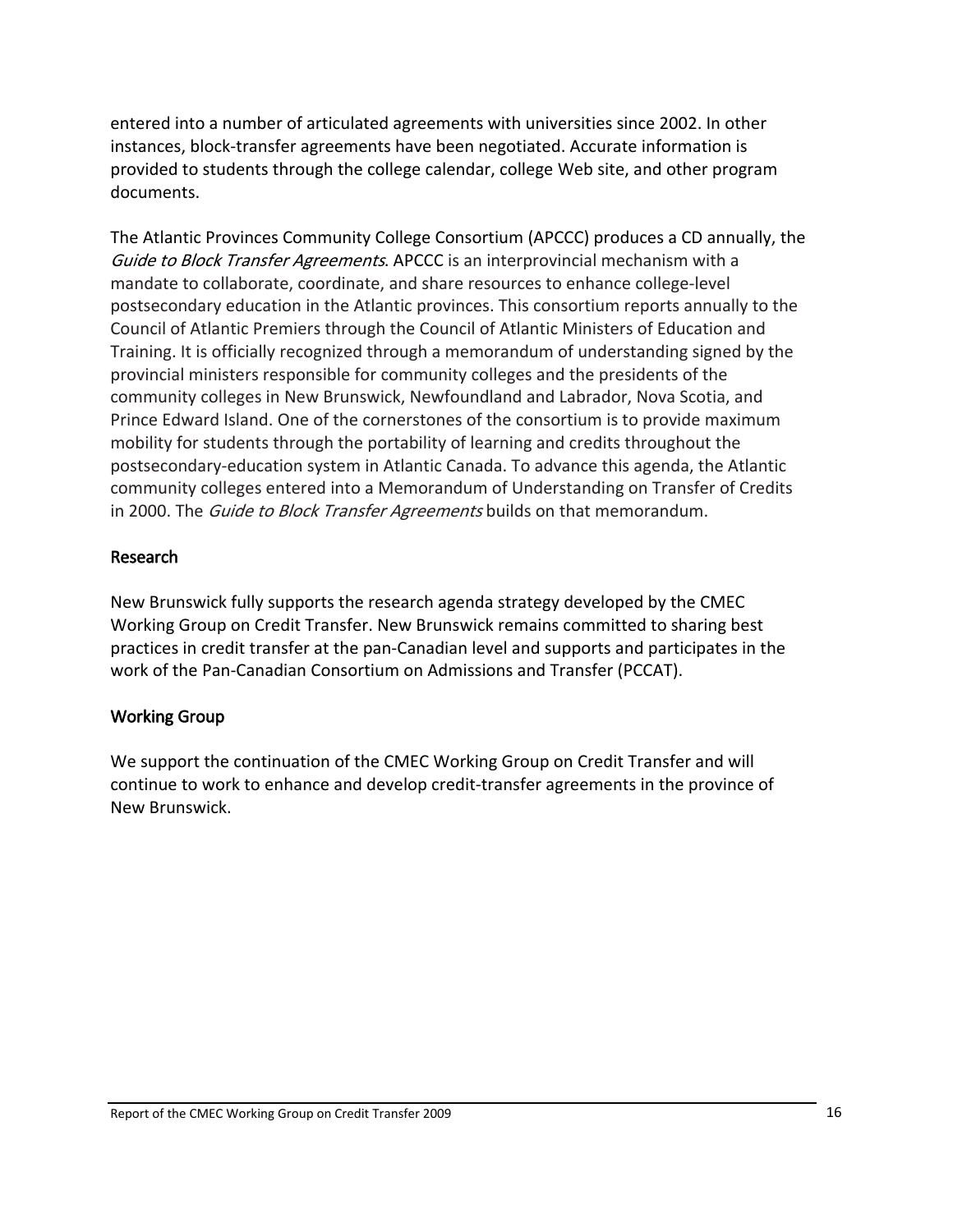<span id="page-19-0"></span>entered into a number of articulated agreements with universities since 2002. In other instances, block‐transfer agreements have been negotiated. Accurate information is provided to students through the college calendar, college Web site, and other program documents.

The Atlantic Provinces Community College Consortium (APCCC) produces a CD annually, the Guide to Block Transfer Agreements. APCCC is an interprovincial mechanism with a mandate to collaborate, coordinate, and share resources to enhance college‐level postsecondary education in the Atlantic provinces. This consortium reports annually to the Council of Atlantic Premiers through the Council of Atlantic Ministers of Education and Training. It is officially recognized through a memorandum of understanding signed by the provincial ministers responsible for community colleges and the presidents of the community colleges in New Brunswick, Newfoundland and Labrador, Nova Scotia, and Prince Edward Island. One of the cornerstones of the consortium is to provide maximum mobility for students through the portability of learning and credits throughout the postsecondary‐education system in Atlantic Canada. To advance this agenda, the Atlantic community colleges entered into a Memorandum of Understanding on Transfer of Credits in 2000. The *Guide to Block Transfer Agreements* builds on that memorandum.

#### Research

New Brunswick fully supports the research agenda strategy developed by the CMEC Working Group on Credit Transfer. New Brunswick remains committed to sharing best practices in credit transfer at the pan‐Canadian level and supports and participates in the work of the Pan‐Canadian Consortium on Admissions and Transfer (PCCAT).

#### Working Group

We support the continuation of the CMEC Working Group on Credit Transfer and will continue to work to enhance and develop credit‐transfer agreements in the province of New Brunswick.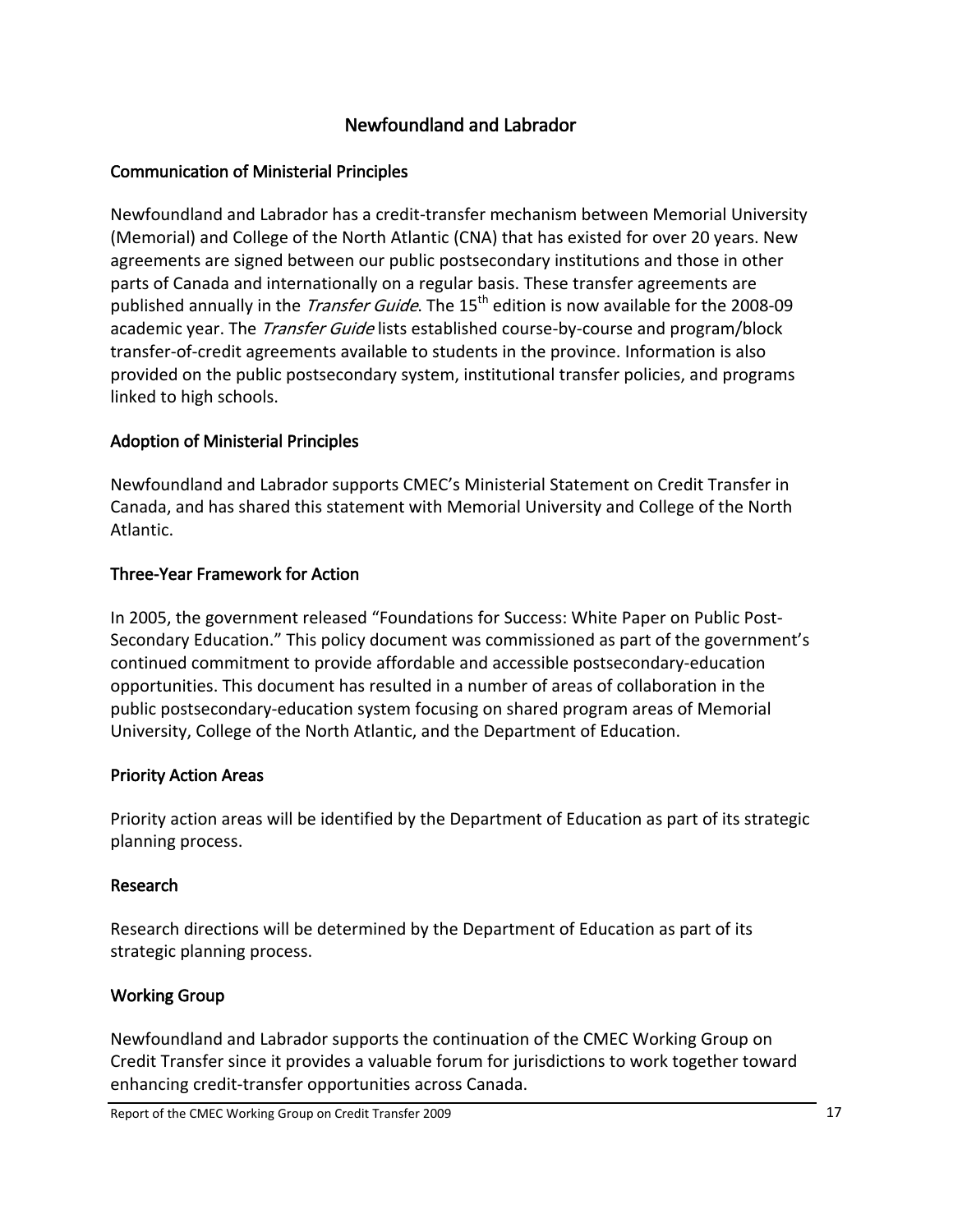## Newfoundland and Labrador

## <span id="page-20-0"></span>Communication of Ministerial Principles

Newfoundland and Labrador has a credit‐transfer mechanism between Memorial University (Memorial) and College of the North Atlantic (CNA) that has existed for over 20 years. New agreements are signed between our public postsecondary institutions and those in other parts of Canada and internationally on a regular basis. These transfer agreements are published annually in the *Transfer Guide*. The 15<sup>th</sup> edition is now available for the 2008-09 academic year. The *Transfer Guide* lists established course-by-course and program/block transfer‐of‐credit agreements available to students in the province. Information is also provided on the public postsecondary system, institutional transfer policies, and programs linked to high schools.

### Adoption of Ministerial Principles

Newfoundland and Labrador supports CMEC's Ministerial Statement on Credit Transfer in Canada, and has shared this statement with Memorial University and College of the North Atlantic.

### Three‐Year Framework for Action

In 2005, the government released "Foundations for Success: White Paper on Public Post‐ Secondary Education." This policy document was commissioned as part of the government's continued commitment to provide affordable and accessible postsecondary‐education opportunities. This document has resulted in a number of areas of collaboration in the public postsecondary‐education system focusing on shared program areas of Memorial University, College of the North Atlantic, and the Department of Education.

#### Priority Action Areas

Priority action areas will be identified by the Department of Education as part of its strategic planning process.

#### Research

Research directions will be determined by the Department of Education as part of its strategic planning process.

## Working Group

Newfoundland and Labrador supports the continuation of the CMEC Working Group on Credit Transfer since it provides a valuable forum for jurisdictions to work together toward enhancing credit‐transfer opportunities across Canada.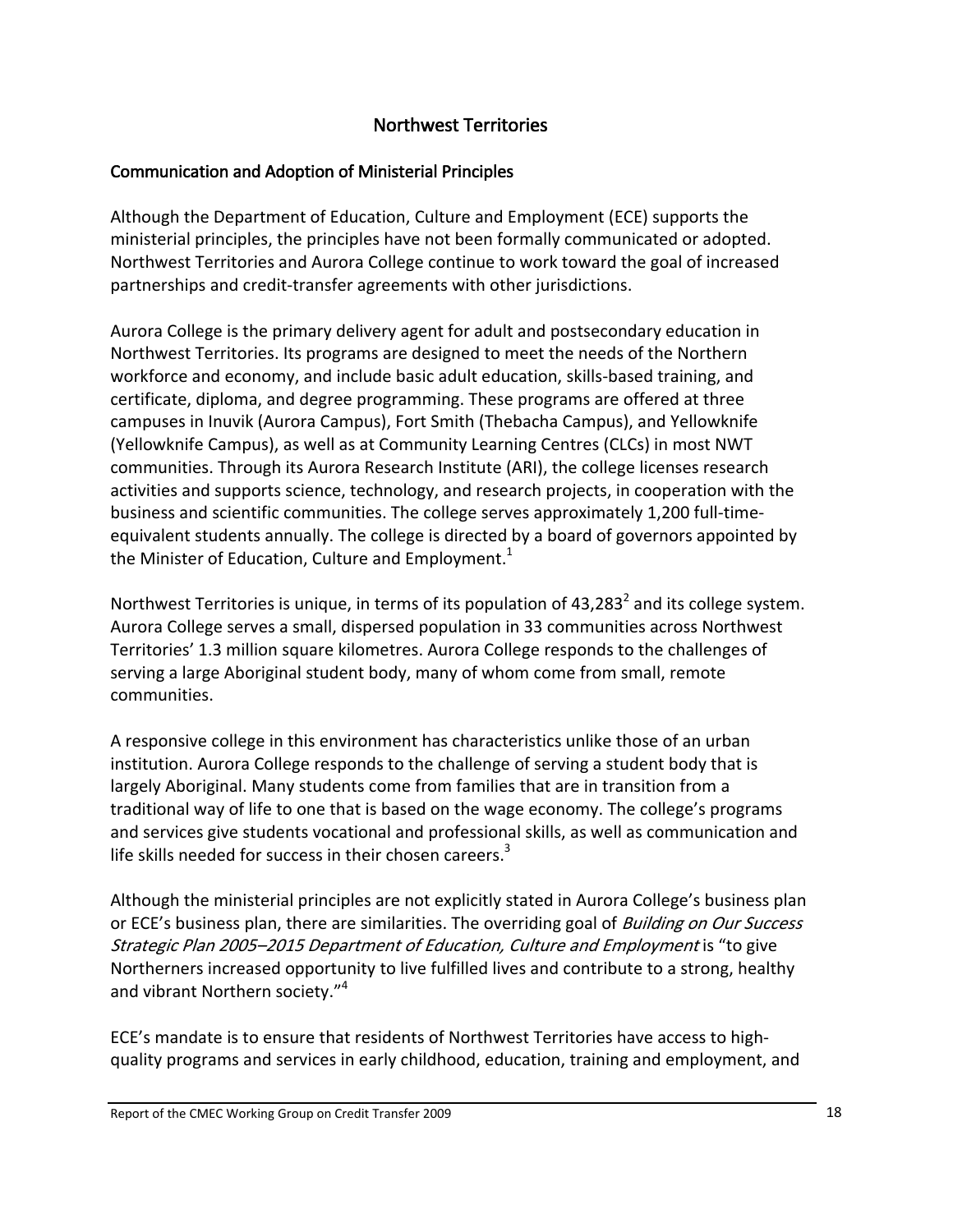## Northwest Territories

#### <span id="page-21-0"></span>Communication and Adoption of Ministerial Principles

Although the Department of Education, Culture and Employment (ECE) supports the ministerial principles, the principles have not been formally communicated or adopted. Northwest Territories and Aurora College continue to work toward the goal of increased partnerships and credit‐transfer agreements with other jurisdictions.

Aurora College is the primary delivery agent for adult and postsecondary education in Northwest Territories. Its programs are designed to meet the needs of the Northern workforce and economy, and include basic adult education, skills‐based training, and certificate, diploma, and degree programming. These programs are offered at three campuses in Inuvik (Aurora Campus), Fort Smith (Thebacha Campus), and Yellowknife (Yellowknife Campus), as well as at Community Learning Centres (CLCs) in most NWT communities. Through its Aurora Research Institute (ARI), the college licenses research activities and supports science, technology, and research projects, in cooperation with the business and scientific communities. The college serves approximately 1,200 full‐time‐ equivalent students annually. The college is directed by a board of governors appointed by the Minister of Education, Culture and Employment.<sup>1</sup>

Northwest Territories is unique, in terms of its population of  $43,283^2$  and its college system. Aurora College serves a small, dispersed population in 33 communities across Northwest Territories' 1.3 million square kilometres. Aurora College responds to the challenges of serving a large Aboriginal student body, many of whom come from small, remote communities.

A responsive college in this environment has characteristics unlike those of an urban institution. Aurora College responds to the challenge of serving a student body that is largely Aboriginal. Many students come from families that are in transition from a traditional way of life to one that is based on the wage economy. The college's programs and services give students vocational and professional skills, as well as communication and life skills needed for success in their chosen careers.<sup>3</sup>

Although the ministerial principles are not explicitly stated in Aurora College's business plan or ECE's business plan, there are similarities. The overriding goal of Building on Our Success Strategic Plan 2005–2015 Department of Education, Culture and Employment is "to give Northerners increased opportunity to live fulfilled lives and contribute to a strong, healthy and vibrant Northern society."<sup>4</sup>

ECE's mandate is to ensure that residents of Northwest Territories have access to high‐ quality programs and services in early childhood, education, training and employment, and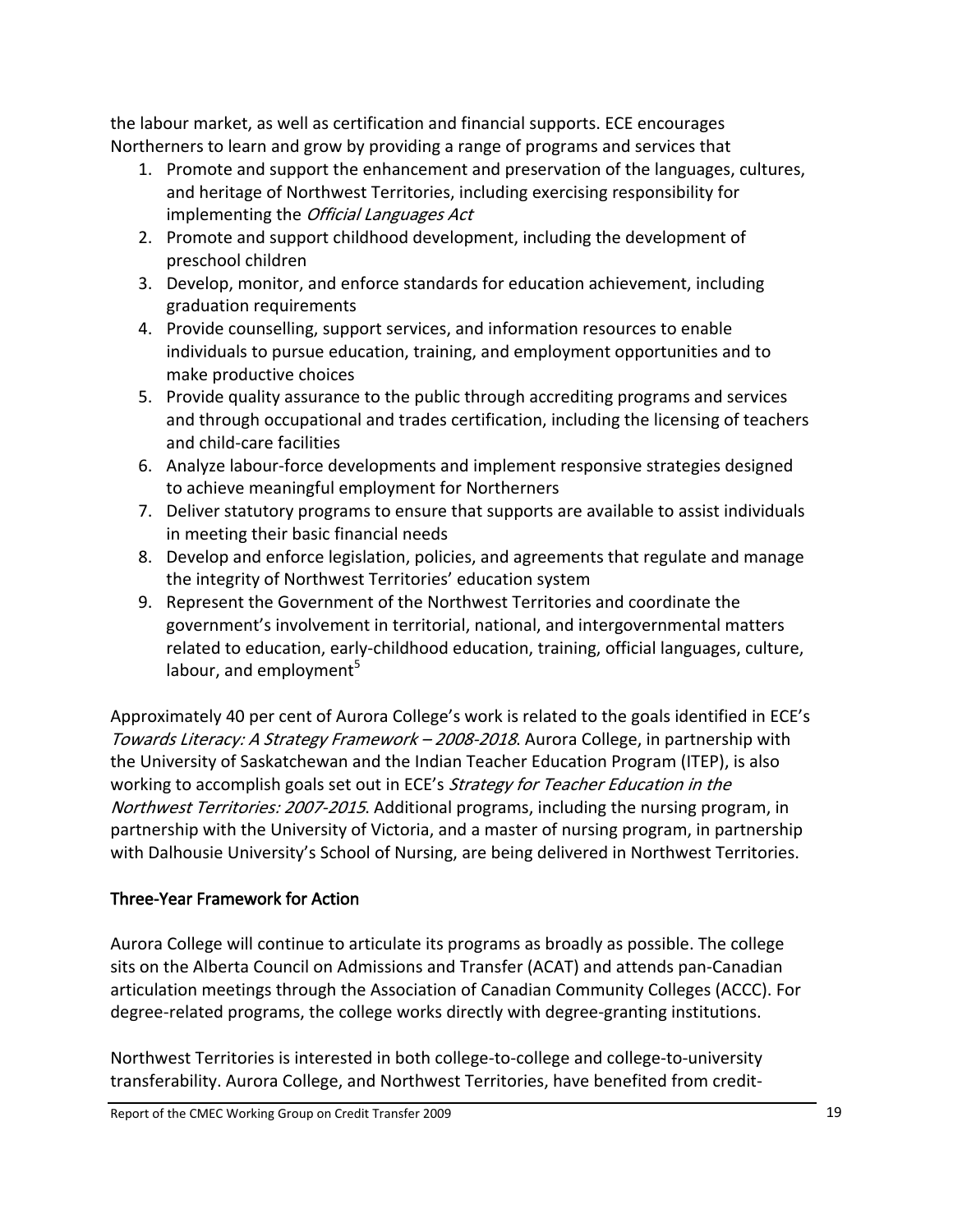<span id="page-22-0"></span>the labour market, as well as certification and financial supports. ECE encourages Northerners to learn and grow by providing a range of programs and services that

- 1. Promote and support the enhancement and preservation of the languages, cultures, and heritage of Northwest Territories, including exercising responsibility for implementing the *Official Languages Act*
- 2. Promote and support childhood development, including the development of preschool children
- 3. Develop, monitor, and enforce standards for education achievement, including graduation requirements
- 4. Provide counselling, support services, and information resources to enable individuals to pursue education, training, and employment opportunities and to make productive choices
- 5. Provide quality assurance to the public through accrediting programs and services and through occupational and trades certification, including the licensing of teachers and child‐care facilities
- 6. Analyze labour‐force developments and implement responsive strategies designed to achieve meaningful employment for Northerners
- 7. Deliver statutory programs to ensure that supports are available to assist individuals in meeting their basic financial needs
- 8. Develop and enforce legislation, policies, and agreements that regulate and manage the integrity of Northwest Territories' education system
- 9. Represent the Government of the Northwest Territories and coordinate the government's involvement in territorial, national, and intergovernmental matters related to education, early‐childhood education, training, official languages, culture, labour, and employment $5$

Approximately 40 per cent of Aurora College's work is related to the goals identified in ECE's Towards Literacy: A Strategy Framework - 2008-2018. Aurora College, in partnership with the University of Saskatchewan and the Indian Teacher Education Program (ITEP), is also working to accomplish goals set out in ECE's Strategy for Teacher Education in the Northwest Territories: 2007-2015. Additional programs, including the nursing program, in partnership with the University of Victoria, and a master of nursing program, in partnership with Dalhousie University's School of Nursing, are being delivered in Northwest Territories.

## Three‐Year Framework for Action

Aurora College will continue to articulate its programs as broadly as possible. The college sits on the Alberta Council on Admissions and Transfer (ACAT) and attends pan‐Canadian articulation meetings through the Association of Canadian Community Colleges (ACCC). For degree‐related programs, the college works directly with degree‐granting institutions.

Northwest Territories is interested in both college‐to‐college and college‐to‐university transferability. Aurora College, and Northwest Territories, have benefited from credit‐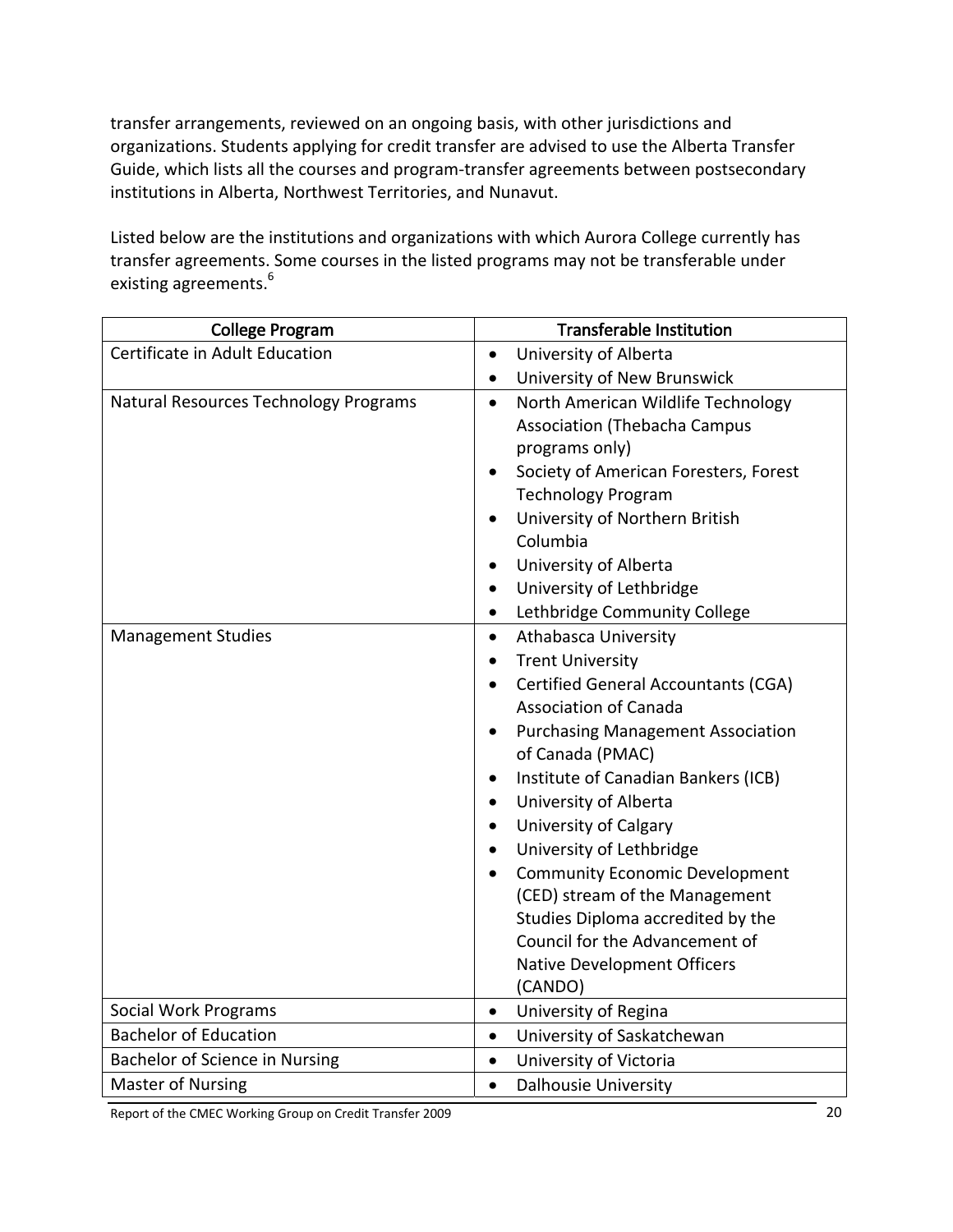transfer arrangements, reviewed on an ongoing basis, with other jurisdictions and organizations. Students applying for credit transfer are advised to use the Alberta Transfer Guide, which lists all the courses and program‐transfer agreements between postsecondary institutions in Alberta, Northwest Territories, and Nunavut.

Listed below are the institutions and organizations with which Aurora College currently has transfer agreements. Some courses in the listed programs may not be transferable under existing agreements.<sup>6</sup>

| <b>College Program</b>                | <b>Transferable Institution</b>                                                                                                                                                                                                                                                                                                                                                                                                                                                                                                                                                        |  |  |
|---------------------------------------|----------------------------------------------------------------------------------------------------------------------------------------------------------------------------------------------------------------------------------------------------------------------------------------------------------------------------------------------------------------------------------------------------------------------------------------------------------------------------------------------------------------------------------------------------------------------------------------|--|--|
| Certificate in Adult Education        | University of Alberta<br>$\bullet$                                                                                                                                                                                                                                                                                                                                                                                                                                                                                                                                                     |  |  |
|                                       | University of New Brunswick<br>$\bullet$                                                                                                                                                                                                                                                                                                                                                                                                                                                                                                                                               |  |  |
| Natural Resources Technology Programs | North American Wildlife Technology<br>$\bullet$<br><b>Association (Thebacha Campus</b><br>programs only)<br>Society of American Foresters, Forest<br>$\bullet$<br><b>Technology Program</b><br>University of Northern British<br>$\bullet$<br>Columbia<br>University of Alberta<br>$\bullet$<br>University of Lethbridge<br>$\bullet$<br>Lethbridge Community College<br>$\bullet$                                                                                                                                                                                                     |  |  |
| <b>Management Studies</b>             | Athabasca University<br>$\bullet$<br><b>Trent University</b><br><b>Certified General Accountants (CGA)</b><br><b>Association of Canada</b><br><b>Purchasing Management Association</b><br>of Canada (PMAC)<br>Institute of Canadian Bankers (ICB)<br>$\bullet$<br>University of Alberta<br>$\bullet$<br><b>University of Calgary</b><br>$\bullet$<br>University of Lethbridge<br><b>Community Economic Development</b><br>$\bullet$<br>(CED) stream of the Management<br>Studies Diploma accredited by the<br>Council for the Advancement of<br>Native Development Officers<br>(CANDO) |  |  |
| Social Work Programs                  | University of Regina<br>$\bullet$                                                                                                                                                                                                                                                                                                                                                                                                                                                                                                                                                      |  |  |
| <b>Bachelor of Education</b>          | University of Saskatchewan<br>$\bullet$                                                                                                                                                                                                                                                                                                                                                                                                                                                                                                                                                |  |  |
| Bachelor of Science in Nursing        | University of Victoria<br>$\bullet$                                                                                                                                                                                                                                                                                                                                                                                                                                                                                                                                                    |  |  |
| <b>Master of Nursing</b>              | <b>Dalhousie University</b><br>$\bullet$                                                                                                                                                                                                                                                                                                                                                                                                                                                                                                                                               |  |  |

Report of the CMEC Working Group on Credit Transfer 2009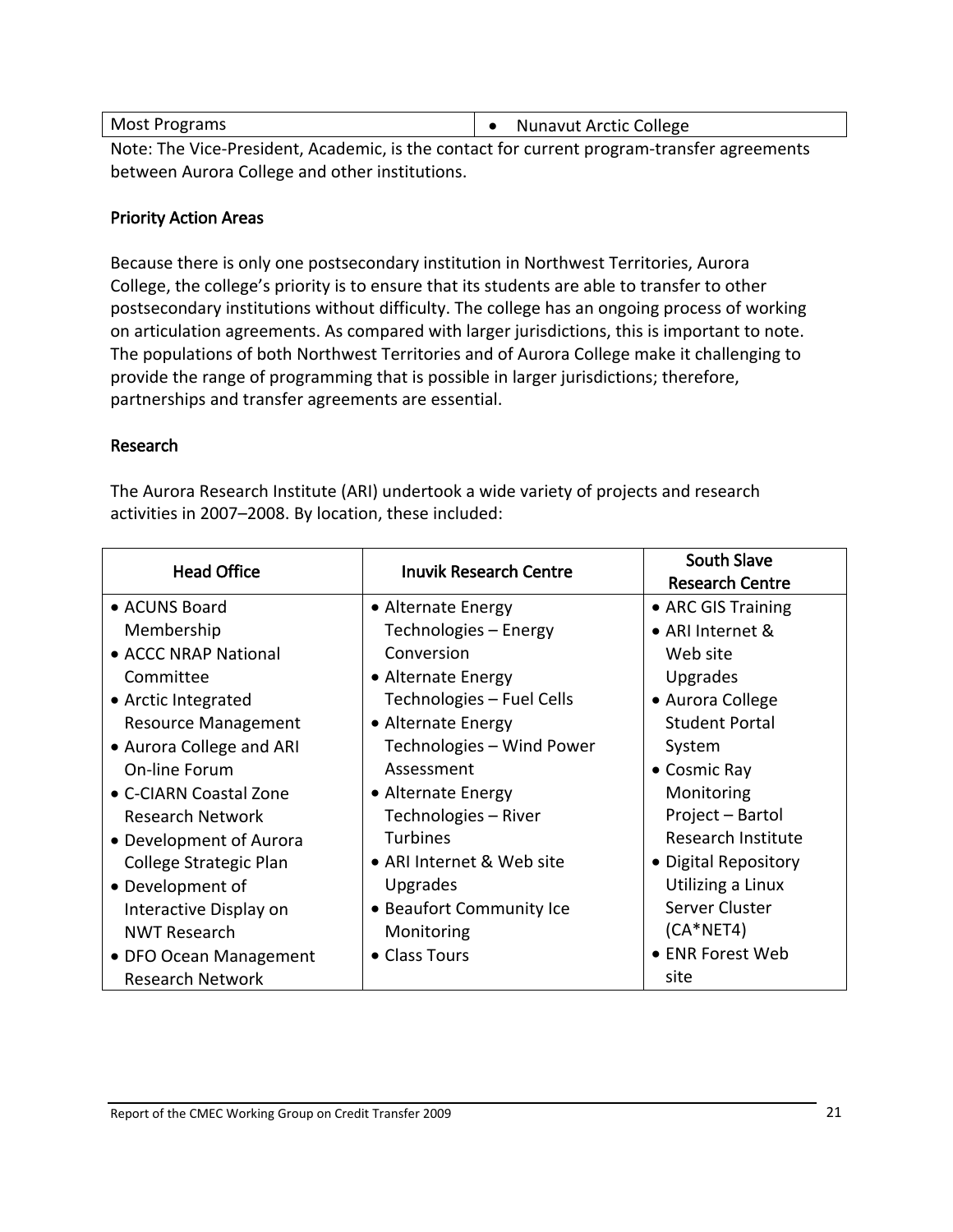<span id="page-24-0"></span>

| Most Programs | • Nunavut Arctic College |
|---------------|--------------------------|
|               |                          |

Note: The Vice‐President, Academic, is the contact for current program‐transfer agreements between Aurora College and other institutions.

#### Priority Action Areas

Because there is only one postsecondary institution in Northwest Territories, Aurora College, the college's priority is to ensure that its students are able to transfer to other postsecondary institutions without difficulty. The college has an ongoing process of working on articulation agreements. As compared with larger jurisdictions, this is important to note. The populations of both Northwest Territories and of Aurora College make it challenging to provide the range of programming that is possible in larger jurisdictions; therefore, partnerships and transfer agreements are essential.

#### Research

The Aurora Research Institute (ARI) undertook a wide variety of projects and research activities in 2007–2008. By location, these included:

| <b>Head Office</b><br><b>Inuvik Research Centre</b> | <b>South Slave</b>        |                        |
|-----------------------------------------------------|---------------------------|------------------------|
|                                                     |                           | <b>Research Centre</b> |
| • ACUNS Board                                       | • Alternate Energy        | • ARC GIS Training     |
| Membership                                          | Technologies – Energy     | • ARI Internet &       |
| • ACCC NRAP National                                | Conversion                | Web site               |
| Committee                                           | • Alternate Energy        | Upgrades               |
| • Arctic Integrated                                 | Technologies - Fuel Cells | • Aurora College       |
| <b>Resource Management</b>                          | • Alternate Energy        | <b>Student Portal</b>  |
| • Aurora College and ARI                            | Technologies - Wind Power | System                 |
| On-line Forum                                       | Assessment                | • Cosmic Ray           |
| • C-CIARN Coastal Zone                              | • Alternate Energy        | Monitoring             |
| Research Network                                    | Technologies - River      | Project - Bartol       |
| • Development of Aurora                             | <b>Turbines</b>           | Research Institute     |
| College Strategic Plan                              | • ARI Internet & Web site | • Digital Repository   |
| • Development of                                    | <b>Upgrades</b>           | Utilizing a Linux      |
| Interactive Display on                              | • Beaufort Community Ice  | Server Cluster         |
| <b>NWT Research</b>                                 | Monitoring                | $(CA*NET4)$            |
| • DFO Ocean Management                              | • Class Tours             | • ENR Forest Web       |
| <b>Research Network</b>                             |                           | site                   |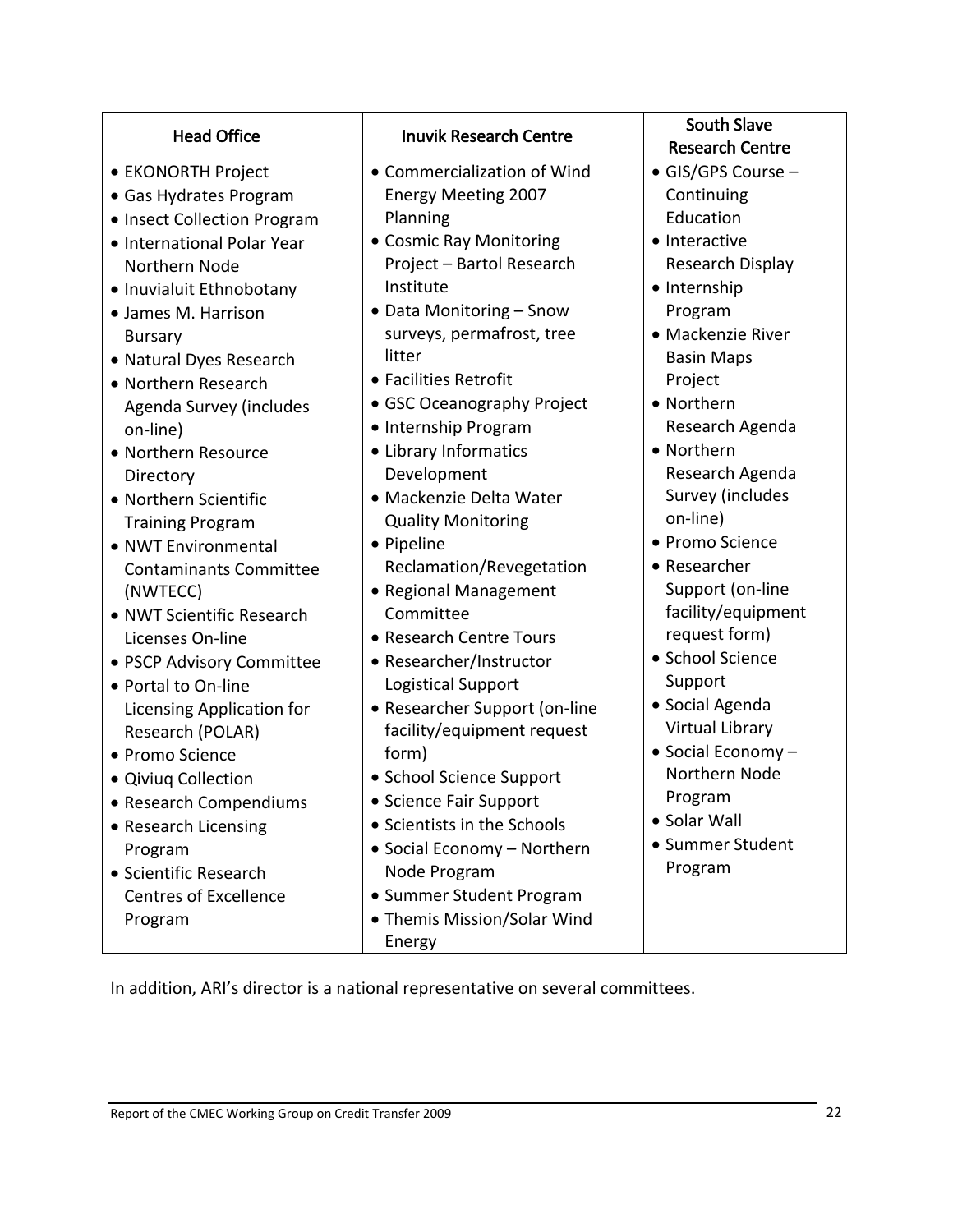| <b>Head Office</b>            | <b>Inuvik Research Centre</b> | <b>South Slave</b>     |
|-------------------------------|-------------------------------|------------------------|
|                               |                               | <b>Research Centre</b> |
| • EKONORTH Project            | • Commercialization of Wind   | · GIS/GPS Course -     |
| • Gas Hydrates Program        | <b>Energy Meeting 2007</b>    | Continuing             |
| • Insect Collection Program   | Planning                      | Education              |
| • International Polar Year    | • Cosmic Ray Monitoring       | • Interactive          |
| Northern Node                 | Project - Bartol Research     | Research Display       |
| • Inuvialuit Ethnobotany      | Institute                     | • Internship           |
| • James M. Harrison           | • Data Monitoring - Snow      | Program                |
| <b>Bursary</b>                | surveys, permafrost, tree     | • Mackenzie River      |
| • Natural Dyes Research       | litter                        | <b>Basin Maps</b>      |
| • Northern Research           | • Facilities Retrofit         | Project                |
| Agenda Survey (includes       | • GSC Oceanography Project    | • Northern             |
| on-line)                      | • Internship Program          | Research Agenda        |
| • Northern Resource           | • Library Informatics         | • Northern             |
| Directory                     | Development                   | Research Agenda        |
| • Northern Scientific         | · Mackenzie Delta Water       | Survey (includes       |
| <b>Training Program</b>       | <b>Quality Monitoring</b>     | on-line)               |
| • NWT Environmental           | • Pipeline                    | • Promo Science        |
| <b>Contaminants Committee</b> | Reclamation/Revegetation      | • Researcher           |
| (NWTECC)                      | • Regional Management         | Support (on-line       |
| • NWT Scientific Research     | Committee                     | facility/equipment     |
| Licenses On-line              | • Research Centre Tours       | request form)          |
| • PSCP Advisory Committee     | • Researcher/Instructor       | · School Science       |
| • Portal to On-line           | <b>Logistical Support</b>     | Support                |
| Licensing Application for     | • Researcher Support (on-line | • Social Agenda        |
| Research (POLAR)              | facility/equipment request    | Virtual Library        |
| • Promo Science               | form)                         | • Social Economy -     |
| · Qiviuq Collection           | • School Science Support      | Northern Node          |
| • Research Compendiums        | • Science Fair Support        | Program                |
| • Research Licensing          | • Scientists in the Schools   | • Solar Wall           |
| Program                       | • Social Economy - Northern   | • Summer Student       |
| • Scientific Research         | Node Program                  | Program                |
| <b>Centres of Excellence</b>  | • Summer Student Program      |                        |
| Program                       | • Themis Mission/Solar Wind   |                        |
|                               | Energy                        |                        |

In addition, ARI's director is a national representative on several committees.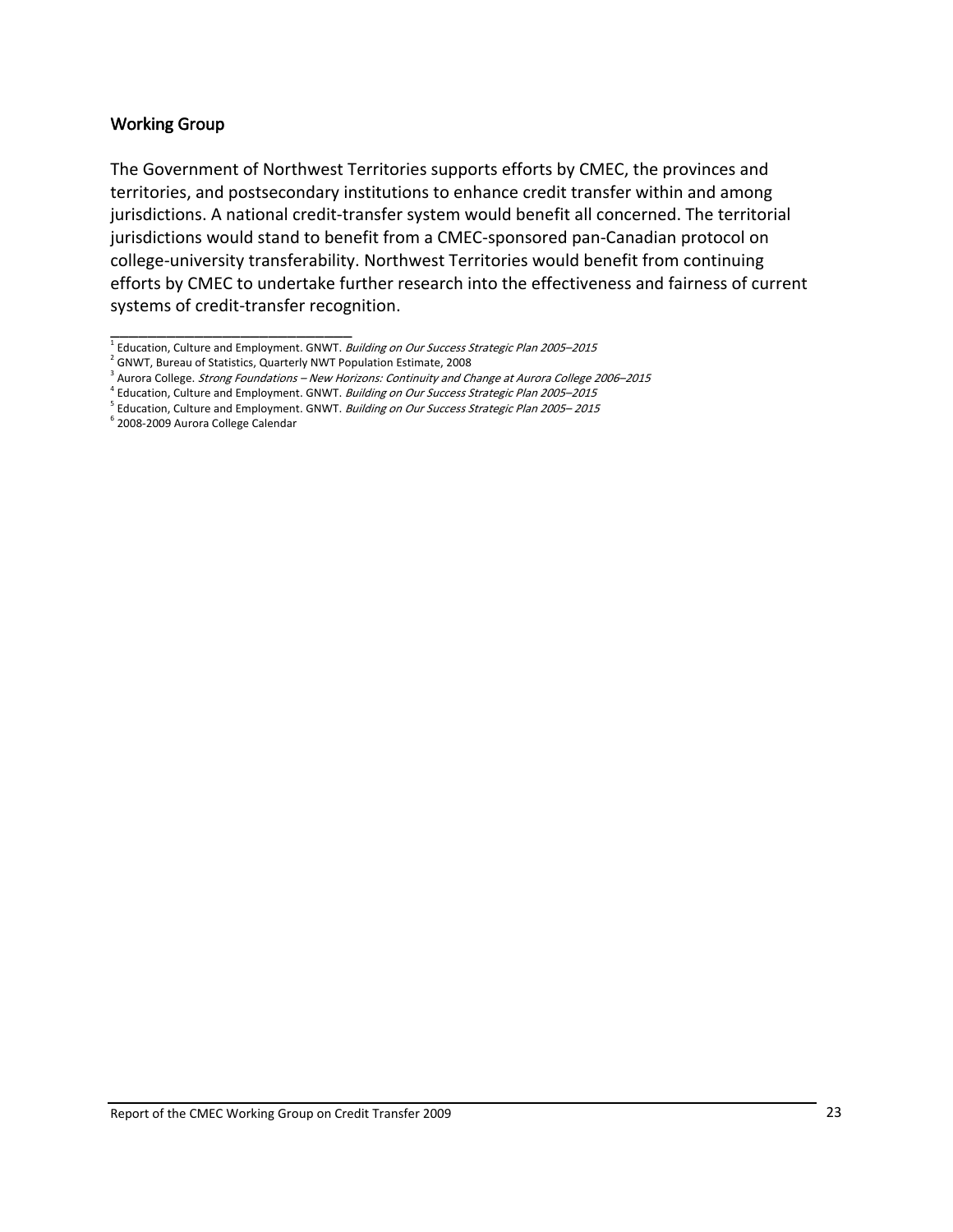#### <span id="page-26-0"></span>Working Group

The Government of Northwest Territories supports efforts by CMEC, the provinces and territories, and postsecondary institutions to enhance credit transfer within and among jurisdictions. A national credit‐transfer system would benefit all concerned. The territorial jurisdictions would stand to benefit from a CMEC‐sponsored pan‐Canadian protocol on college‐university transferability. Northwest Territories would benefit from continuing efforts by CMEC to undertake further research into the effectiveness and fairness of current systems of credit‐transfer recognition.

\_\_\_\_\_\_\_\_\_\_\_\_\_\_\_\_\_\_\_\_\_\_\_\_\_\_  $1$  Education, Culture and Employment. GNWT. Building on Our Success Strategic Plan 2005–2015

<sup>&</sup>lt;sup>2</sup> GNWT, Bureau of Statistics, Quarterly NWT Population Estimate, 2008

<sup>&</sup>lt;sup>3</sup> Aurora College. *Strong Foundations – New Horizons: Continuity and Change at Aurora College 2006–2015*<br><sup>4</sup> Education, Culture and Employment. GNWT. *Building on Our Success Strategic Plan 2005–2015* 

 $<sup>5</sup>$  Education, Culture and Employment. GNWT. Building on Our Success Strategic Plan 2005–2015</sup>

<sup>6</sup> 2008‐2009 Aurora College Calendar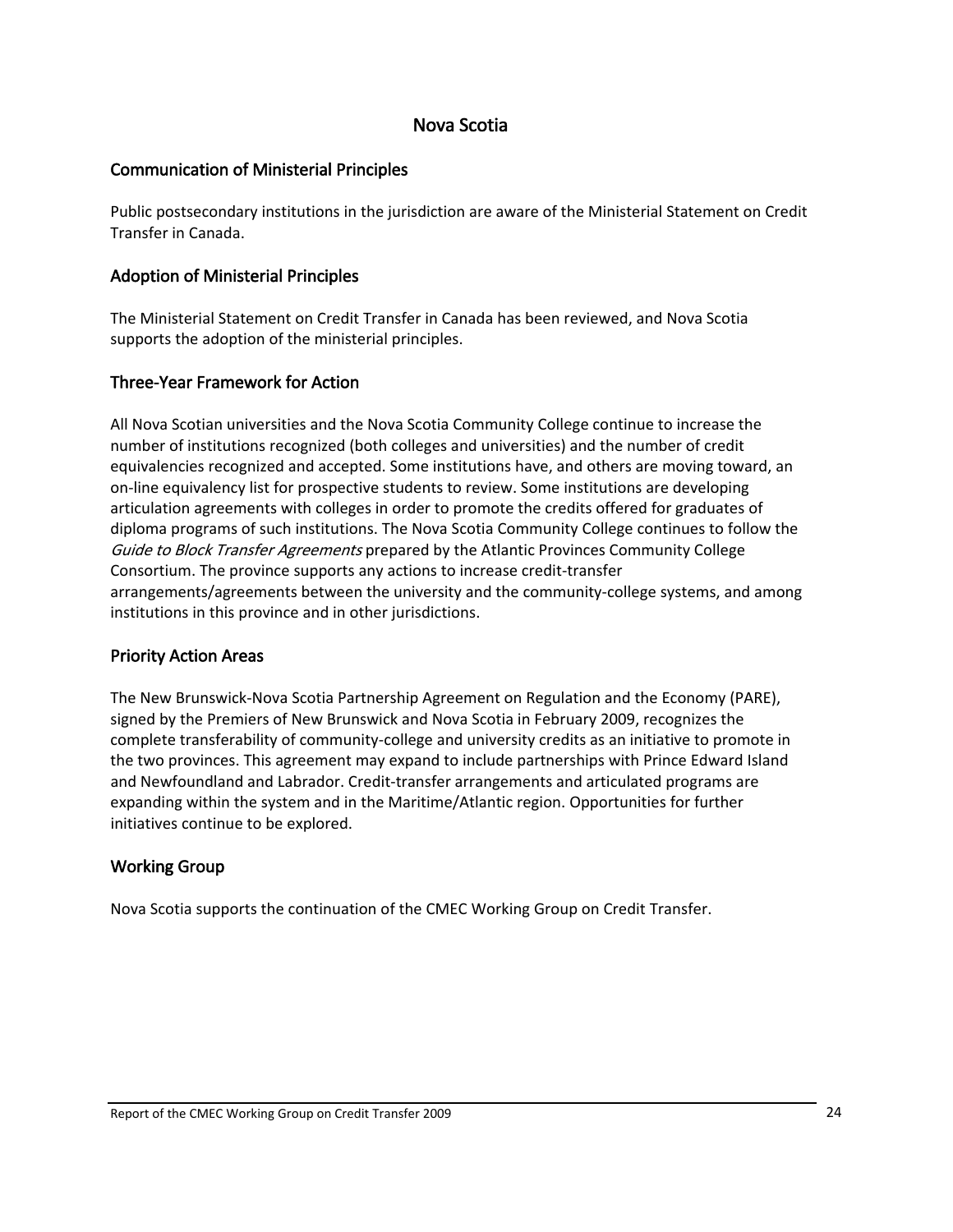#### Nova Scotia

#### <span id="page-27-0"></span>Communication of Ministerial Principles

Public postsecondary institutions in the jurisdiction are aware of the Ministerial Statement on Credit Transfer in Canada.

#### Adoption of Ministerial Principles

The Ministerial Statement on Credit Transfer in Canada has been reviewed, and Nova Scotia supports the adoption of the ministerial principles.

#### Three‐Year Framework for Action

All Nova Scotian universities and the Nova Scotia Community College continue to increase the number of institutions recognized (both colleges and universities) and the number of credit equivalencies recognized and accepted. Some institutions have, and others are moving toward, an on-line equivalency list for prospective students to review. Some institutions are developing articulation agreements with colleges in order to promote the credits offered for graduates of diploma programs of such institutions. The Nova Scotia Community College continues to follow the Guide to Block Transfer Agreements prepared by the Atlantic Provinces Community College Consortium. The province supports any actions to increase credit‐transfer arrangements/agreements between the university and the community-college systems, and among institutions in this province and in other jurisdictions.

#### Priority Action Areas

The New Brunswick‐Nova Scotia Partnership Agreement on Regulation and the Economy (PARE), signed by the Premiers of New Brunswick and Nova Scotia in February 2009, recognizes the complete transferability of community‐college and university credits as an initiative to promote in the two provinces. This agreement may expand to include partnerships with Prince Edward Island and Newfoundland and Labrador. Credit‐transfer arrangements and articulated programs are expanding within the system and in the Maritime/Atlantic region. Opportunities for further initiatives continue to be explored.

#### Working Group

Nova Scotia supports the continuation of the CMEC Working Group on Credit Transfer.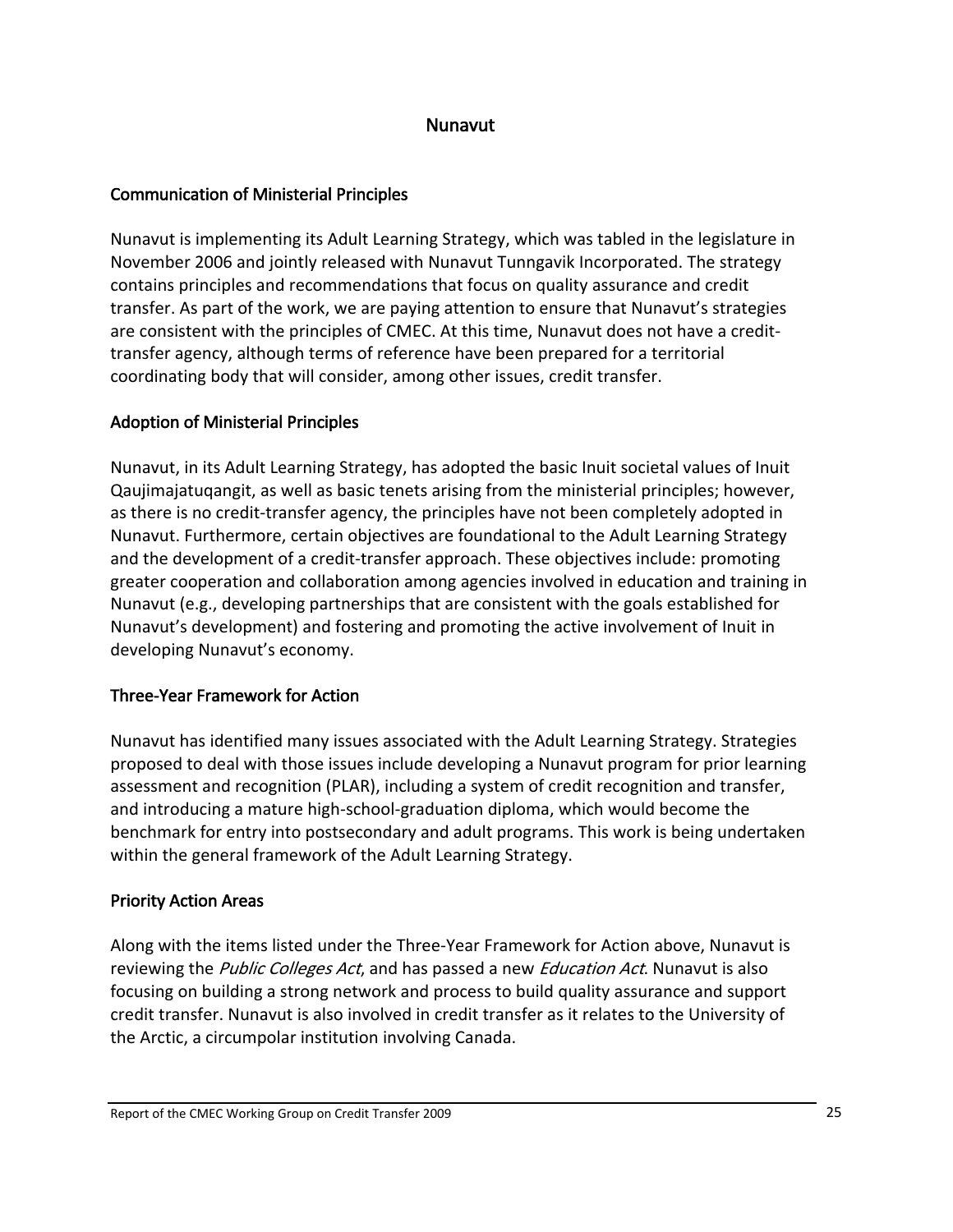#### Nunavut

#### <span id="page-28-0"></span>Communication of Ministerial Principles

Nunavut is implementing its Adult Learning Strategy, which was tabled in the legislature in November 2006 and jointly released with Nunavut Tunngavik Incorporated. The strategy contains principles and recommendations that focus on quality assurance and credit transfer. As part of the work, we are paying attention to ensure that Nunavut's strategies are consistent with the principles of CMEC. At this time, Nunavut does not have a credit‐ transfer agency, although terms of reference have been prepared for a territorial coordinating body that will consider, among other issues, credit transfer.

## Adoption of Ministerial Principles

Nunavut, in its Adult Learning Strategy, has adopted the basic Inuit societal values of Inuit Qaujimajatuqangit, as well as basic tenets arising from the ministerial principles; however, as there is no credit‐transfer agency, the principles have not been completely adopted in Nunavut. Furthermore, certain objectives are foundational to the Adult Learning Strategy and the development of a credit‐transfer approach. These objectives include: promoting greater cooperation and collaboration among agencies involved in education and training in Nunavut (e.g., developing partnerships that are consistent with the goals established for Nunavut's development) and fostering and promoting the active involvement of Inuit in developing Nunavut's economy.

## Three‐Year Framework for Action

Nunavut has identified many issues associated with the Adult Learning Strategy. Strategies proposed to deal with those issues include developing a Nunavut program for prior learning assessment and recognition (PLAR), including a system of credit recognition and transfer, and introducing a mature high‐school‐graduation diploma, which would become the benchmark for entry into postsecondary and adult programs. This work is being undertaken within the general framework of the Adult Learning Strategy.

## Priority Action Areas

Along with the items listed under the Three‐Year Framework for Action above, Nunavut is reviewing the *Public Colleges Act*, and has passed a new *Education Act*. Nunavut is also focusing on building a strong network and process to build quality assurance and support credit transfer. Nunavut is also involved in credit transfer as it relates to the University of the Arctic, a circumpolar institution involving Canada.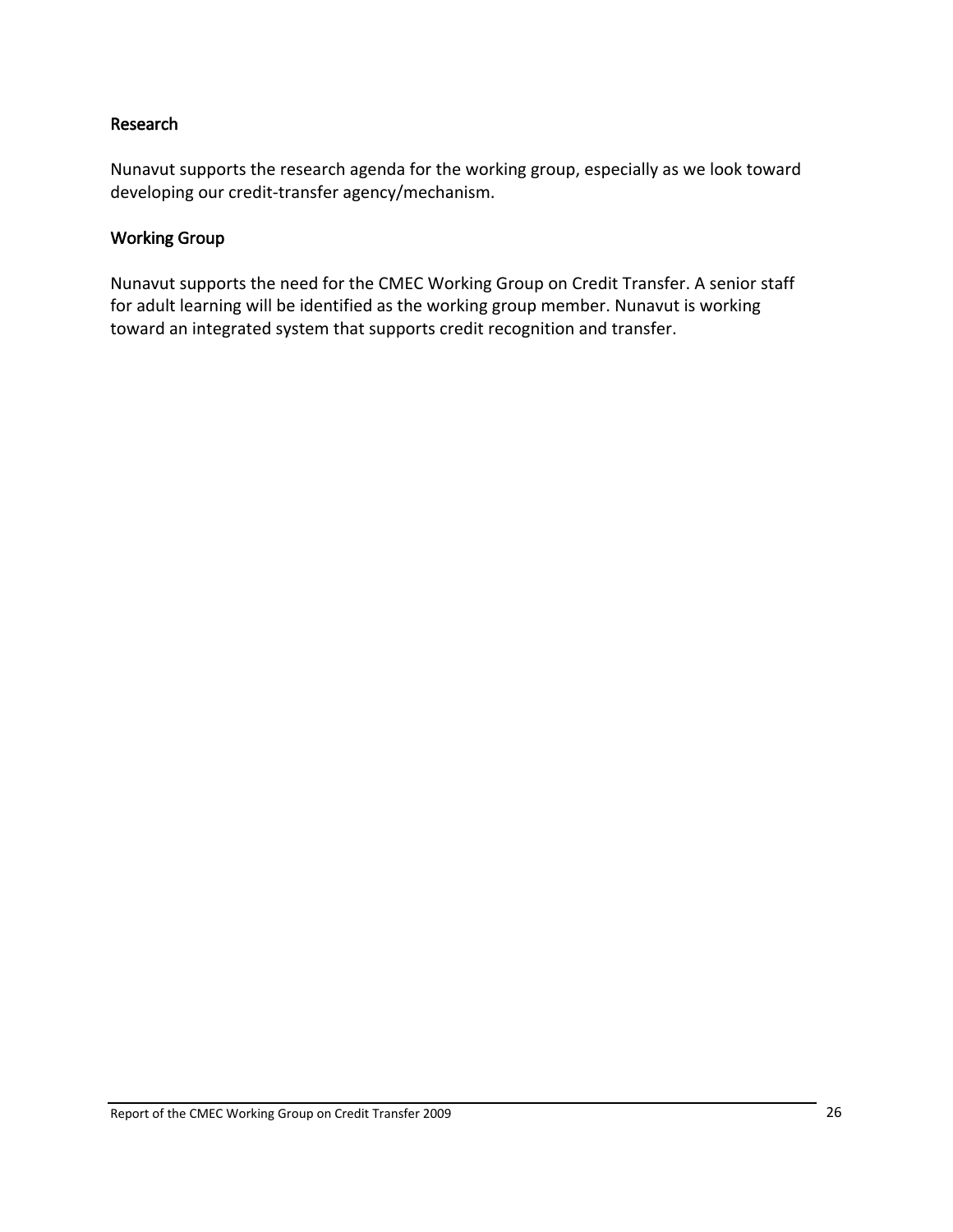#### <span id="page-29-0"></span>Research

Nunavut supports the research agenda for the working group, especially as we look toward developing our credit‐transfer agency/mechanism.

#### Working Group

Nunavut supports the need for the CMEC Working Group on Credit Transfer. A senior staff for adult learning will be identified as the working group member. Nunavut is working toward an integrated system that supports credit recognition and transfer.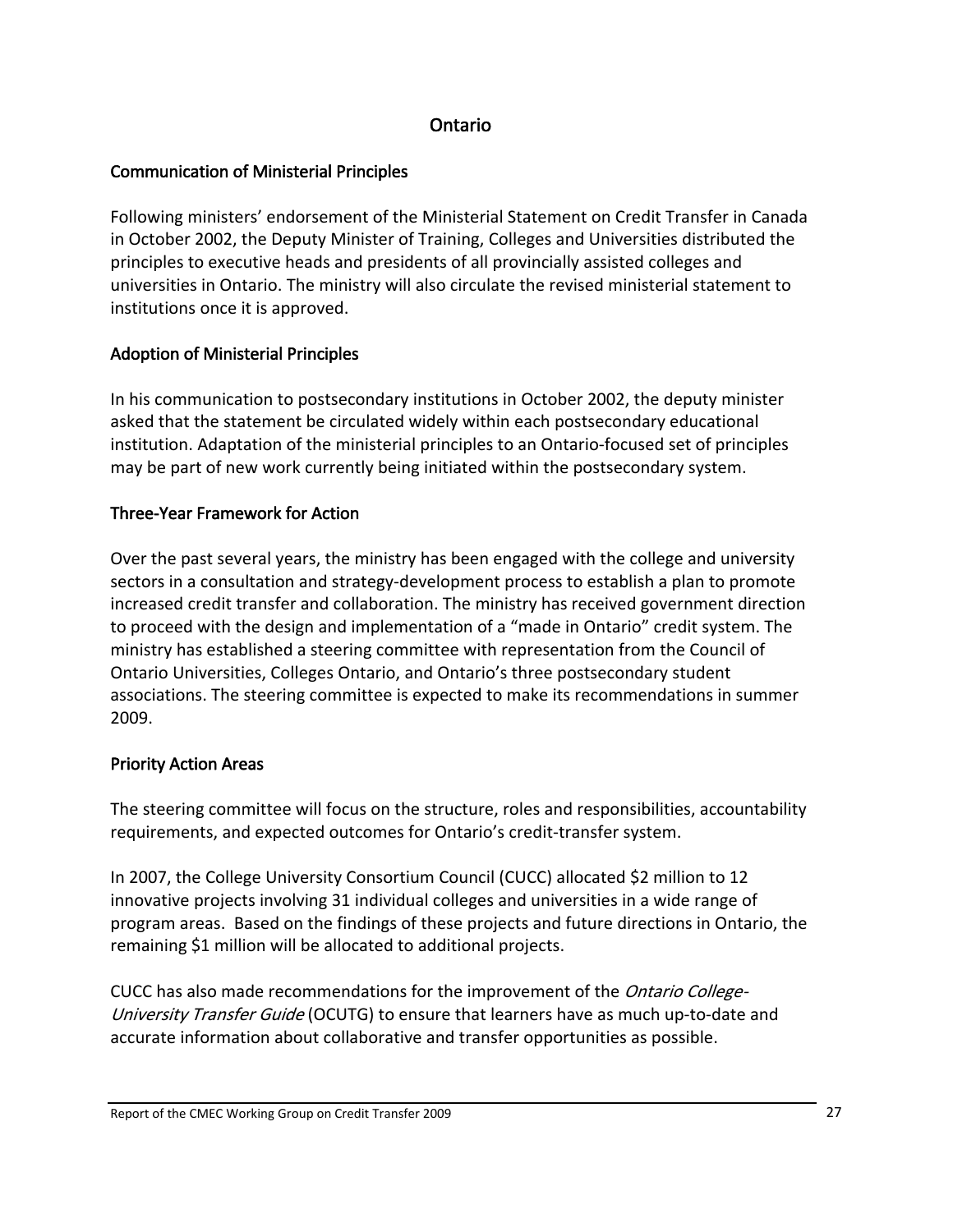#### Ontario

### <span id="page-30-0"></span>Communication of Ministerial Principles

Following ministers' endorsement of the Ministerial Statement on Credit Transfer in Canada in October 2002, the Deputy Minister of Training, Colleges and Universities distributed the principles to executive heads and presidents of all provincially assisted colleges and universities in Ontario. The ministry will also circulate the revised ministerial statement to institutions once it is approved.

## Adoption of Ministerial Principles

In his communication to postsecondary institutions in October 2002, the deputy minister asked that the statement be circulated widely within each postsecondary educational institution. Adaptation of the ministerial principles to an Ontario‐focused set of principles may be part of new work currently being initiated within the postsecondary system.

## Three‐Year Framework for Action

Over the past several years, the ministry has been engaged with the college and university sectors in a consultation and strategy-development process to establish a plan to promote increased credit transfer and collaboration. The ministry has received government direction to proceed with the design and implementation of a "made in Ontario" credit system. The ministry has established a steering committee with representation from the Council of Ontario Universities, Colleges Ontario, and Ontario's three postsecondary student associations. The steering committee is expected to make its recommendations in summer 2009.

## Priority Action Areas

The steering committee will focus on the structure, roles and responsibilities, accountability requirements, and expected outcomes for Ontario's credit‐transfer system.

In 2007, the College University Consortium Council (CUCC) allocated \$2 million to 12 innovative projects involving 31 individual colleges and universities in a wide range of program areas. Based on the findings of these projects and future directions in Ontario, the remaining \$1 million will be allocated to additional projects.

CUCC has also made recommendations for the improvement of the Ontario College-University Transfer Guide (OCUTG) to ensure that learners have as much up-to-date and accurate information about collaborative and transfer opportunities as possible.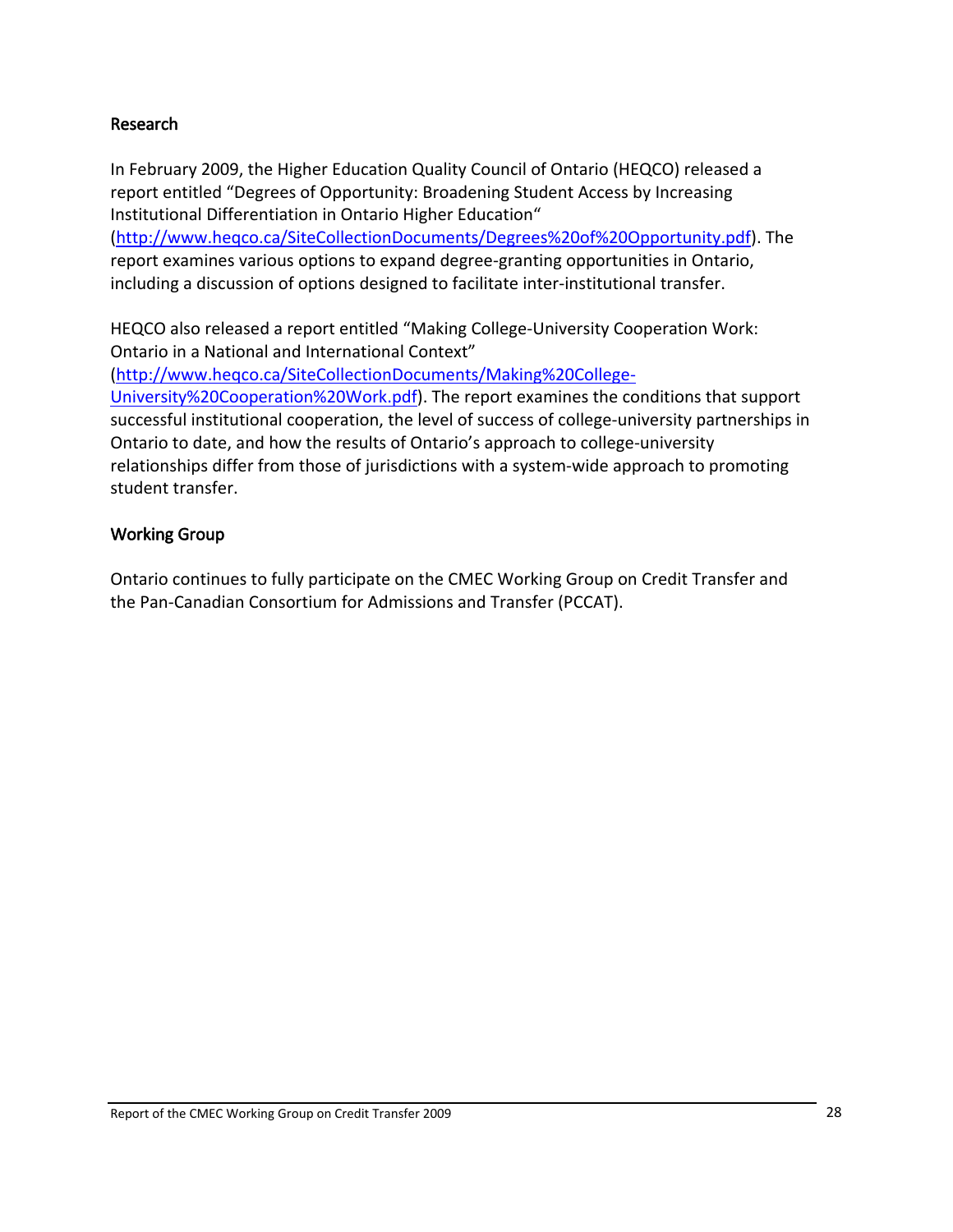#### <span id="page-31-0"></span>Research

In February 2009, the Higher Education Quality Council of Ontario (HEQCO) released a report entitled "Degrees of Opportunity: Broadening Student Access by Increasing Institutional Differentiation in Ontario Higher Education"

([http://www.heqco.ca/SiteCollectionDocuments/Degrees%20of%20Opportunity.pdf\)](http://www.heqco.ca/SiteCollectionDocuments/Degrees%20of%20Opportunity.pdf). The report examines various options to expand degree‐granting opportunities in Ontario, including a discussion of options designed to facilitate inter‐institutional transfer.

HEQCO also released a report entitled "Making College‐University Cooperation Work: Ontario in a National and International Context"

([http://www.heqco.ca/SiteCollectionDocuments/Making%20College](http://www.heqco.ca/SiteCollectionDocuments/Making%20College-University%20Cooperation%20Work.pdf)‐ [University%20Cooperation%20Work.pdf](http://www.heqco.ca/SiteCollectionDocuments/Making%20College-University%20Cooperation%20Work.pdf)). The report examines the conditions that support successful institutional cooperation, the level of success of college-university partnerships in Ontario to date, and how the results of Ontario's approach to college‐university relationships differ from those of jurisdictions with a system-wide approach to promoting student transfer.

#### Working Group

Ontario continues to fully participate on the CMEC Working Group on Credit Transfer and the Pan‐Canadian Consortium for Admissions and Transfer (PCCAT).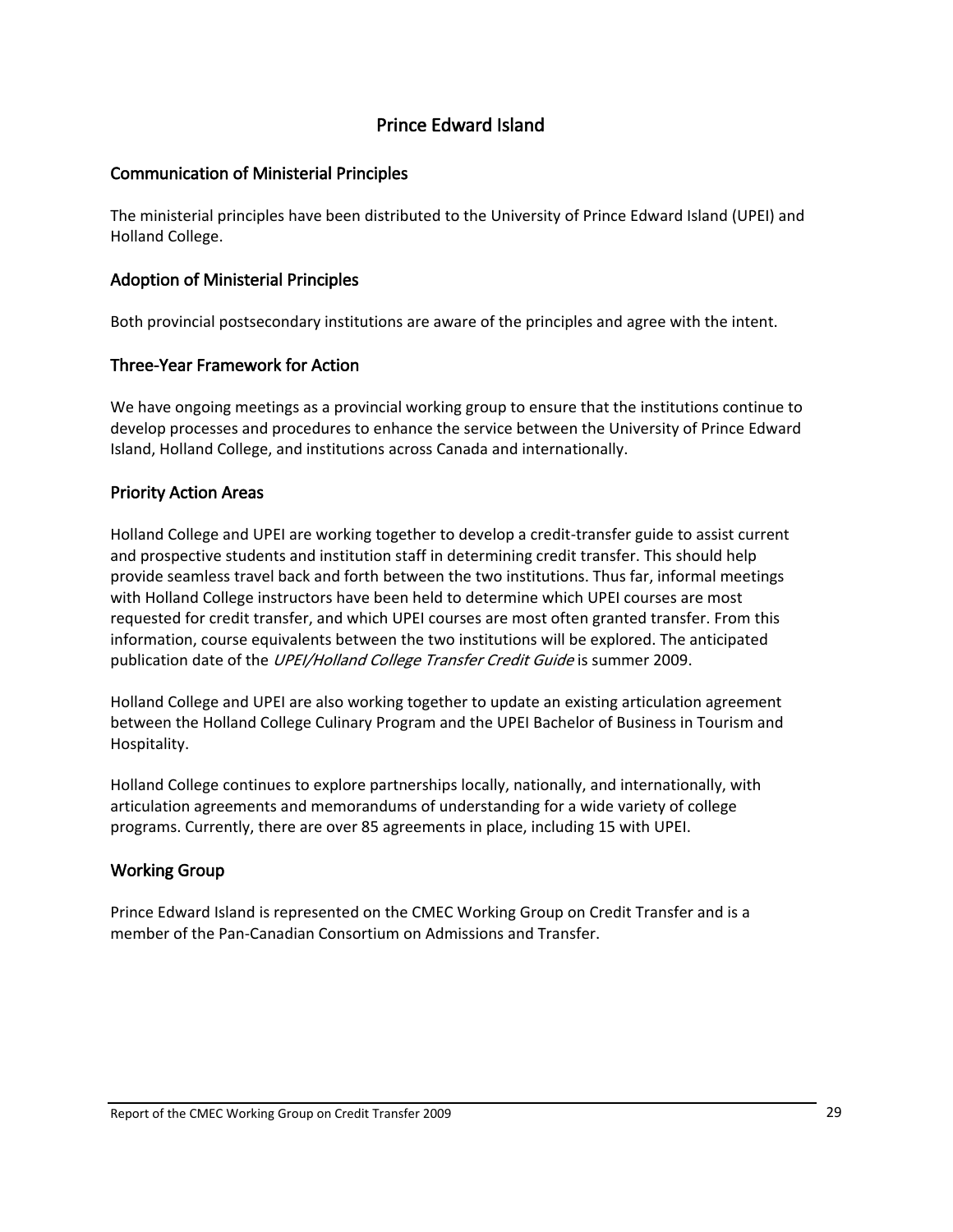### Prince Edward Island

#### <span id="page-32-0"></span>Communication of Ministerial Principles

The ministerial principles have been distributed to the University of Prince Edward Island (UPEI) and Holland College.

#### Adoption of Ministerial Principles

Both provincial postsecondary institutions are aware of the principles and agree with the intent.

#### Three‐Year Framework for Action

We have ongoing meetings as a provincial working group to ensure that the institutions continue to develop processes and procedures to enhance the service between the University of Prince Edward Island, Holland College, and institutions across Canada and internationally.

#### Priority Action Areas

Holland College and UPEI are working together to develop a credit‐transfer guide to assist current and prospective students and institution staff in determining credit transfer. This should help provide seamless travel back and forth between the two institutions. Thus far, informal meetings with Holland College instructors have been held to determine which UPEI courses are most requested for credit transfer, and which UPEI courses are most often granted transfer. From this information, course equivalents between the two institutions will be explored. The anticipated publication date of the *UPEI/Holland College Transfer Credit Guide* is summer 2009.

Holland College and UPEI are also working together to update an existing articulation agreement between the Holland College Culinary Program and the UPEI Bachelor of Business in Tourism and Hospitality.

Holland College continues to explore partnerships locally, nationally, and internationally, with articulation agreements and memorandums of understanding for a wide variety of college programs. Currently, there are over 85 agreements in place, including 15 with UPEI.

#### Working Group

Prince Edward Island is represented on the CMEC Working Group on Credit Transfer and is a member of the Pan‐Canadian Consortium on Admissions and Transfer.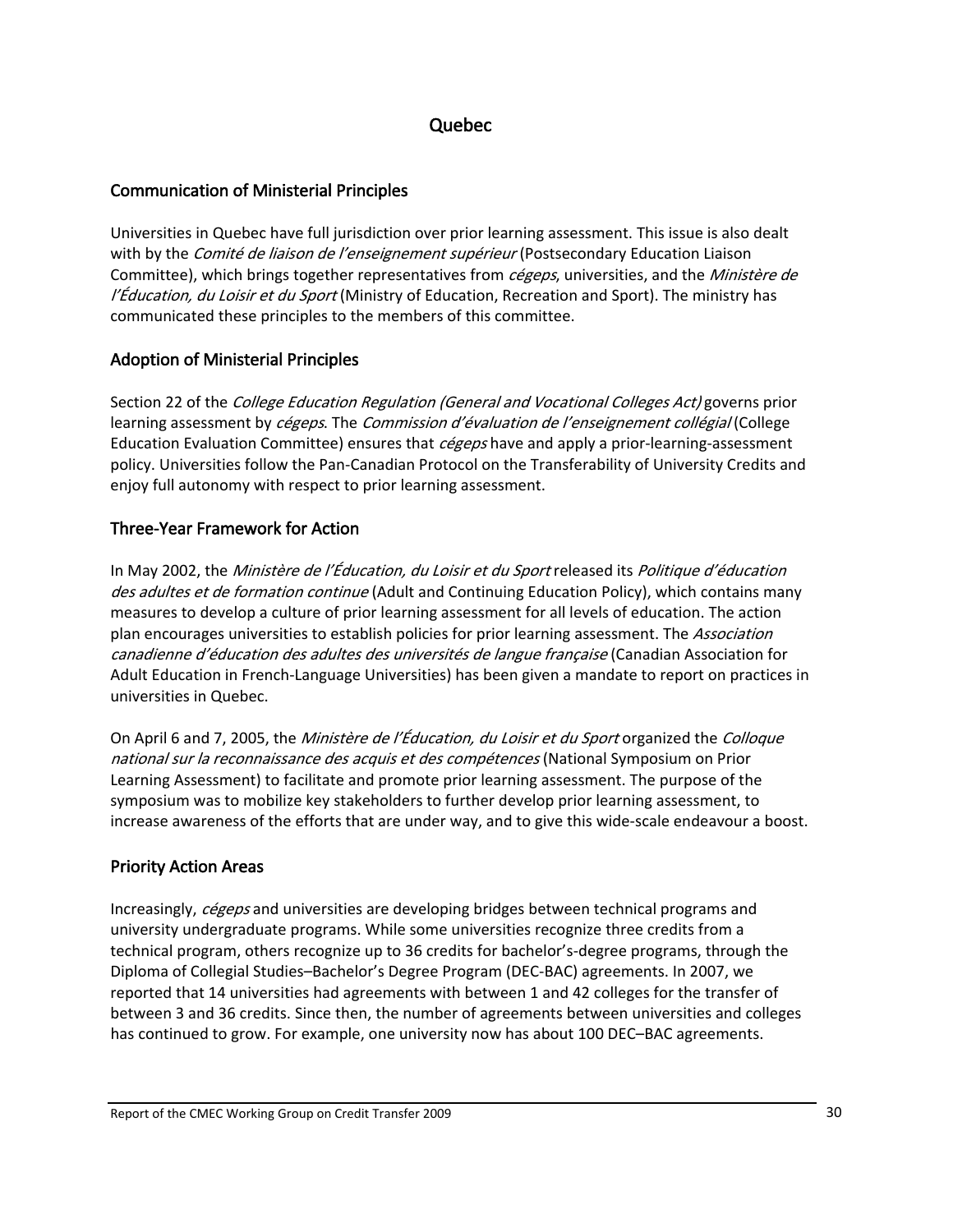#### Quebec

#### <span id="page-33-0"></span>Communication of Ministerial Principles

Universities in Quebec have full jurisdiction over prior learning assessment. This issue is also dealt with by the *Comité de liaison de l'enseignement supérieur* (Postsecondary Education Liaison Committee), which brings together representatives from *cégeps*, universities, and the *Ministère de* l'Éducation, du Loisir et du Sport (Ministry of Education, Recreation and Sport). The ministry has communicated these principles to the members of this committee.

#### Adoption of Ministerial Principles

Section 22 of the *College Education Regulation (General and Vocational Colleges Act)* governs prior learning assessment by *cégeps*. The *Commission d'évaluation de l'enseignement collégial* (College Education Evaluation Committee) ensures that *cégeps* have and apply a prior-learning-assessment policy. Universities follow the Pan‐Canadian Protocol on the Transferability of University Credits and enjoy full autonomy with respect to prior learning assessment.

#### Three‐Year Framework for Action

In May 2002, the *Ministère de l'Éducation, du Loisir et du Sport* released its *Politique d'éducation* des adultes et de formation continue (Adult and Continuing Education Policy), which contains many measures to develop a culture of prior learning assessment for all levels of education. The action plan encourages universities to establish policies for prior learning assessment. The Association canadienne d'éducation des adultes des universités de langue française (Canadian Association for Adult Education in French‐Language Universities) has been given a mandate to report on practices in universities in Quebec.

On April 6 and 7, 2005, the *Ministère de l'Éducation, du Loisir et du Sport* organized the *Colloque* national sur la reconnaissance des acquis et des compétences (National Symposium on Prior Learning Assessment) to facilitate and promote prior learning assessment. The purpose of the symposium was to mobilize key stakeholders to further develop prior learning assessment, to increase awareness of the efforts that are under way, and to give this wide‐scale endeavour a boost.

## Priority Action Areas

Increasingly, cégeps and universities are developing bridges between technical programs and university undergraduate programs. While some universities recognize three credits from a technical program, others recognize up to 36 credits for bachelor's‐degree programs, through the Diploma of Collegial Studies–Bachelor's Degree Program (DEC‐BAC) agreements. In 2007, we reported that 14 universities had agreements with between 1 and 42 colleges for the transfer of between 3 and 36 credits. Since then, the number of agreements between universities and colleges has continued to grow. For example, one university now has about 100 DEC–BAC agreements.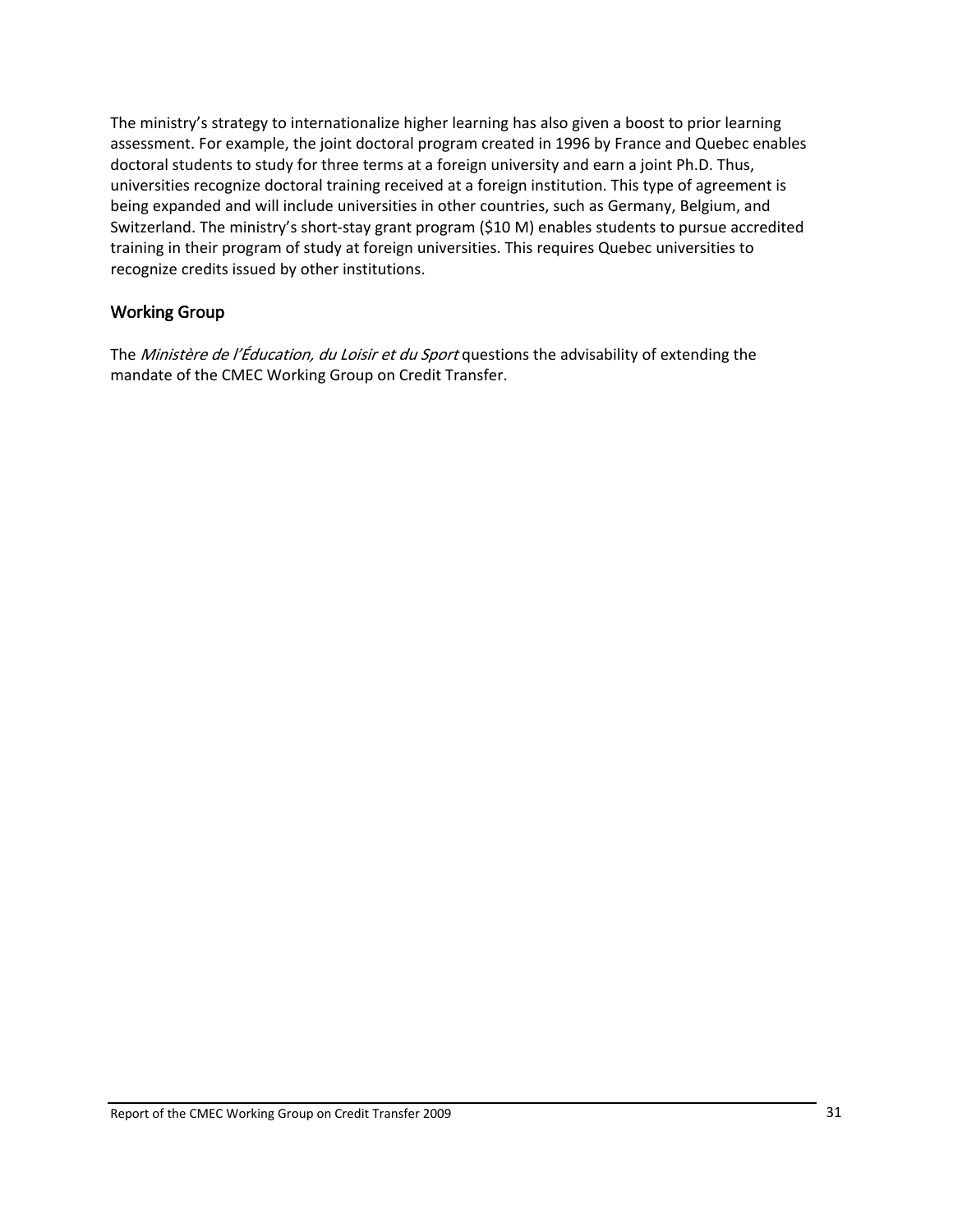<span id="page-34-0"></span>The ministry's strategy to internationalize higher learning has also given a boost to prior learning assessment. For example, the joint doctoral program created in 1996 by France and Quebec enables doctoral students to study for three terms at a foreign university and earn a joint Ph.D. Thus, universities recognize doctoral training received at a foreign institution. This type of agreement is being expanded and will include universities in other countries, such as Germany, Belgium, and Switzerland. The ministry's short-stay grant program (\$10 M) enables students to pursue accredited training in their program of study at foreign universities. This requires Quebec universities to recognize credits issued by other institutions.

#### Working Group

The Ministère de l'Éducation, du Loisir et du Sport questions the advisability of extending the mandate of the CMEC Working Group on Credit Transfer.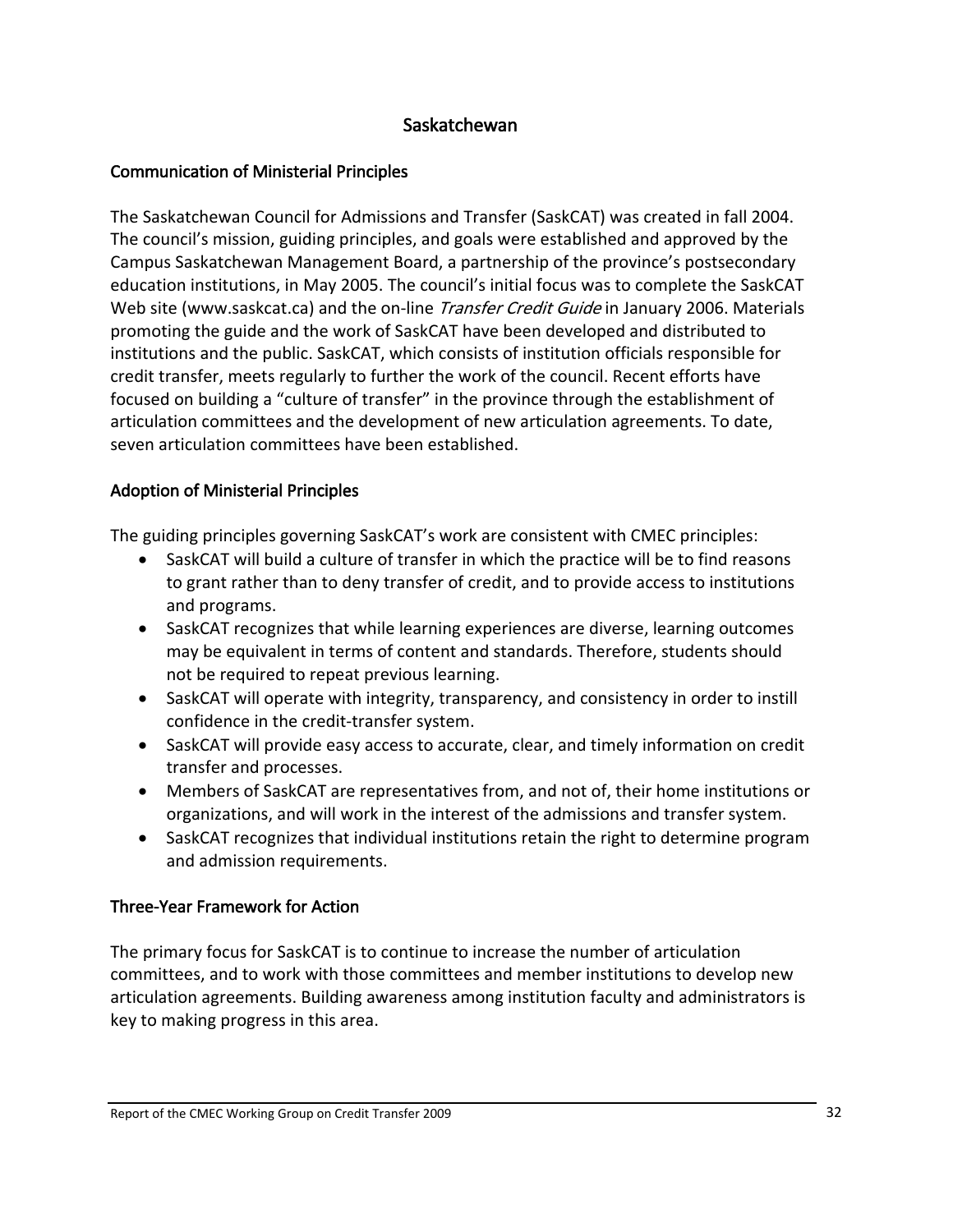### Saskatchewan

### <span id="page-35-0"></span>Communication of Ministerial Principles

The Saskatchewan Council for Admissions and Transfer (SaskCAT) was created in fall 2004. The council's mission, guiding principles, and goals were established and approved by the Campus Saskatchewan Management Board, a partnership of the province's postsecondary education institutions, in May 2005. The council's initial focus was to complete the SaskCAT Web site (www.saskcat.ca) and the on-line *Transfer Credit Guide* in January 2006. Materials promoting the guide and the work of SaskCAT have been developed and distributed to institutions and the public. SaskCAT, which consists of institution officials responsible for credit transfer, meets regularly to further the work of the council. Recent efforts have focused on building a "culture of transfer" in the province through the establishment of articulation committees and the development of new articulation agreements. To date, seven articulation committees have been established.

### Adoption of Ministerial Principles

The guiding principles governing SaskCAT's work are consistent with CMEC principles:

- SaskCAT will build a culture of transfer in which the practice will be to find reasons to grant rather than to deny transfer of credit, and to provide access to institutions and programs.
- SaskCAT recognizes that while learning experiences are diverse, learning outcomes may be equivalent in terms of content and standards. Therefore, students should not be required to repeat previous learning.
- SaskCAT will operate with integrity, transparency, and consistency in order to instill confidence in the credit‐transfer system.
- SaskCAT will provide easy access to accurate, clear, and timely information on credit transfer and processes.
- Members of SaskCAT are representatives from, and not of, their home institutions or organizations, and will work in the interest of the admissions and transfer system.
- SaskCAT recognizes that individual institutions retain the right to determine program and admission requirements.

## Three‐Year Framework for Action

The primary focus for SaskCAT is to continue to increase the number of articulation committees, and to work with those committees and member institutions to develop new articulation agreements. Building awareness among institution faculty and administrators is key to making progress in this area.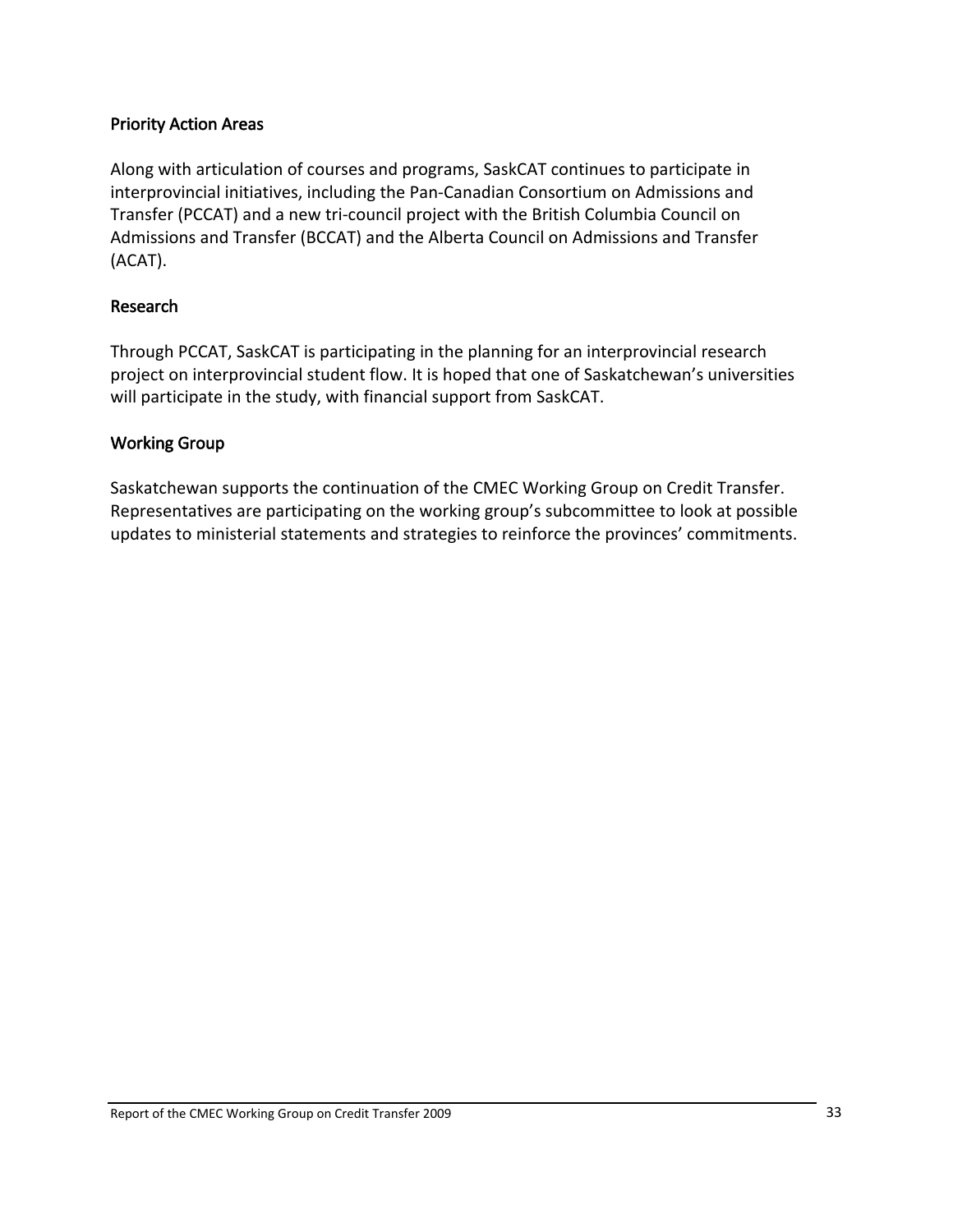#### <span id="page-36-0"></span>Priority Action Areas

Along with articulation of courses and programs, SaskCAT continues to participate in interprovincial initiatives, including the Pan‐Canadian Consortium on Admissions and Transfer (PCCAT) and a new tri‐council project with the British Columbia Council on Admissions and Transfer (BCCAT) and the Alberta Council on Admissions and Transfer (ACAT).

#### Research

Through PCCAT, SaskCAT is participating in the planning for an interprovincial research project on interprovincial student flow. It is hoped that one of Saskatchewan's universities will participate in the study, with financial support from SaskCAT.

#### Working Group

Saskatchewan supports the continuation of the CMEC Working Group on Credit Transfer. Representatives are participating on the working group's subcommittee to look at possible updates to ministerial statements and strategies to reinforce the provinces' commitments.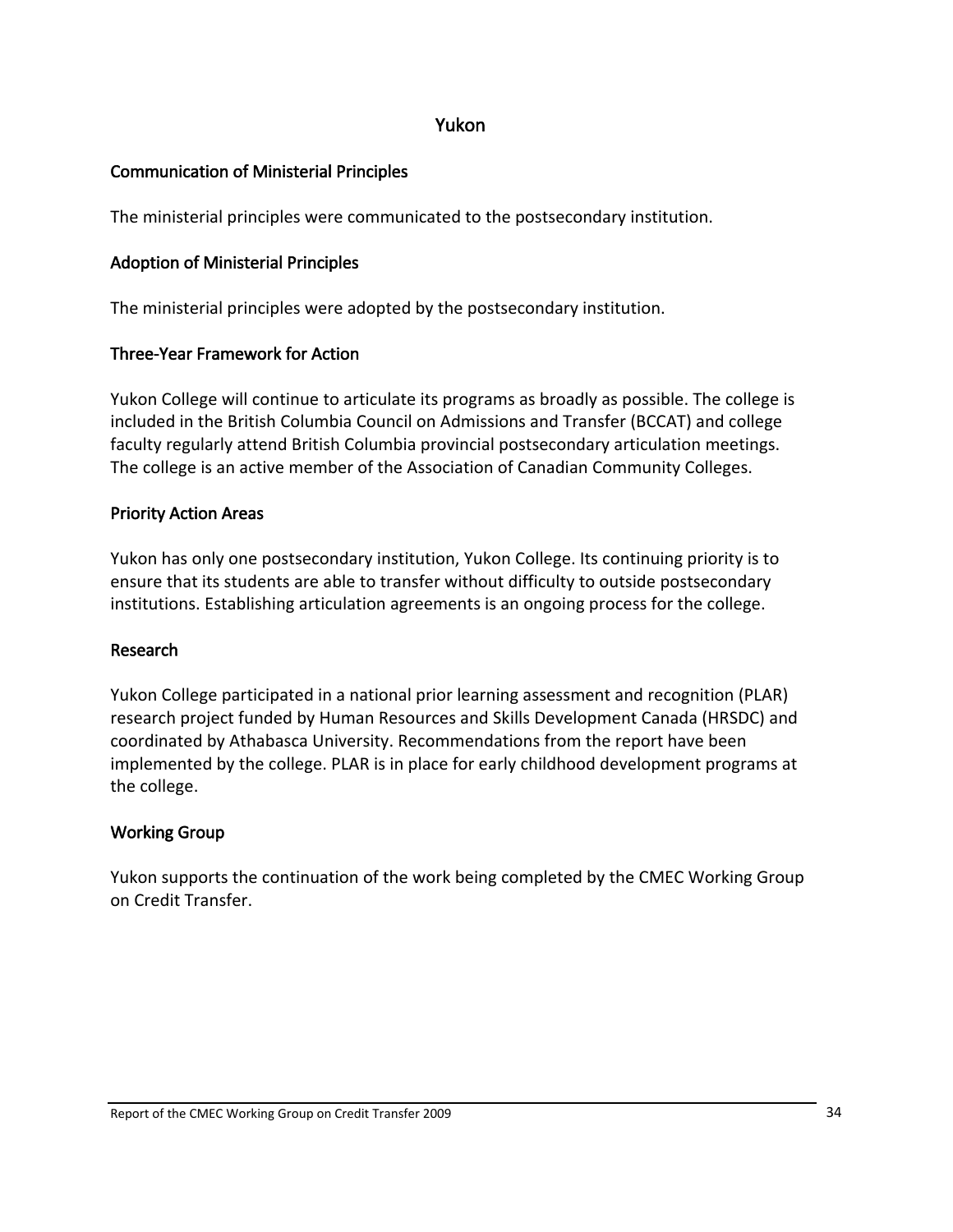#### Yukon

## <span id="page-37-0"></span>Communication of Ministerial Principles

The ministerial principles were communicated to the postsecondary institution.

### Adoption of Ministerial Principles

The ministerial principles were adopted by the postsecondary institution.

### Three‐Year Framework for Action

Yukon College will continue to articulate its programs as broadly as possible. The college is included in the British Columbia Council on Admissions and Transfer (BCCAT) and college faculty regularly attend British Columbia provincial postsecondary articulation meetings. The college is an active member of the Association of Canadian Community Colleges.

### Priority Action Areas

Yukon has only one postsecondary institution, Yukon College. Its continuing priority is to ensure that its students are able to transfer without difficulty to outside postsecondary institutions. Establishing articulation agreements is an ongoing process for the college.

#### Research

Yukon College participated in a national prior learning assessment and recognition (PLAR) research project funded by Human Resources and Skills Development Canada (HRSDC) and coordinated by Athabasca University. Recommendations from the report have been implemented by the college. PLAR is in place for early childhood development programs at the college.

#### Working Group

Yukon supports the continuation of the work being completed by the CMEC Working Group on Credit Transfer.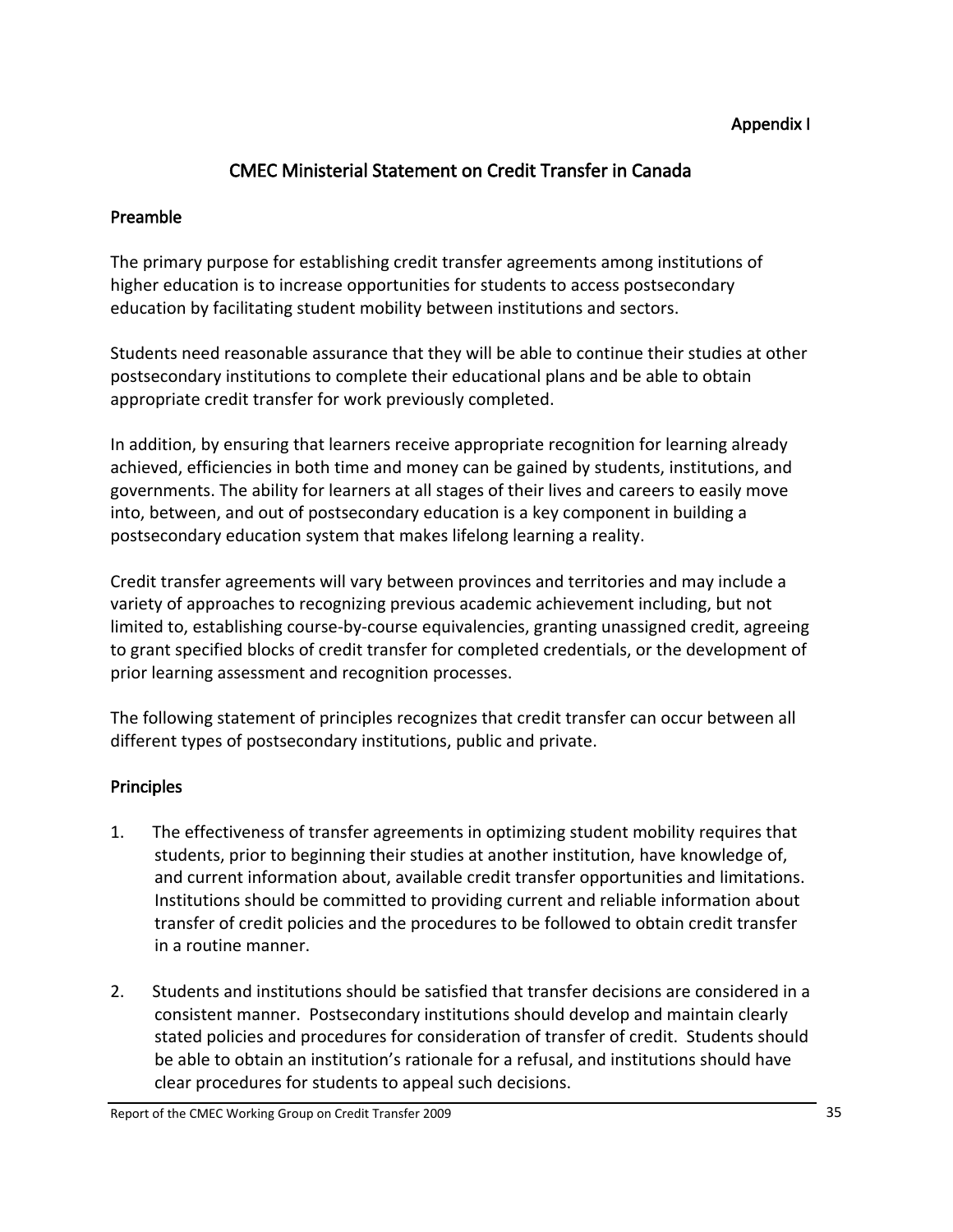#### Appendix I

## CMEC Ministerial Statement on Credit Transfer in Canada

### <span id="page-38-0"></span>Preamble

The primary purpose for establishing credit transfer agreements among institutions of higher education is to increase opportunities for students to access postsecondary education by facilitating student mobility between institutions and sectors.

Students need reasonable assurance that they will be able to continue their studies at other postsecondary institutions to complete their educational plans and be able to obtain appropriate credit transfer for work previously completed.

In addition, by ensuring that learners receive appropriate recognition for learning already achieved, efficiencies in both time and money can be gained by students, institutions, and governments. The ability for learners at all stages of their lives and careers to easily move into, between, and out of postsecondary education is a key component in building a postsecondary education system that makes lifelong learning a reality.

Credit transfer agreements will vary between provinces and territories and may include a variety of approaches to recognizing previous academic achievement including, but not limited to, establishing course‐by‐course equivalencies, granting unassigned credit, agreeing to grant specified blocks of credit transfer for completed credentials, or the development of prior learning assessment and recognition processes.

The following statement of principles recognizes that credit transfer can occur between all different types of postsecondary institutions, public and private.

## **Principles**

- 1. The effectiveness of transfer agreements in optimizing student mobility requires that students, prior to beginning their studies at another institution, have knowledge of, and current information about, available credit transfer opportunities and limitations. Institutions should be committed to providing current and reliable information about transfer of credit policies and the procedures to be followed to obtain credit transfer in a routine manner.
- 2. Students and institutions should be satisfied that transfer decisions are considered in a consistent manner. Postsecondary institutions should develop and maintain clearly stated policies and procedures for consideration of transfer of credit. Students should be able to obtain an institution's rationale for a refusal, and institutions should have clear procedures for students to appeal such decisions.